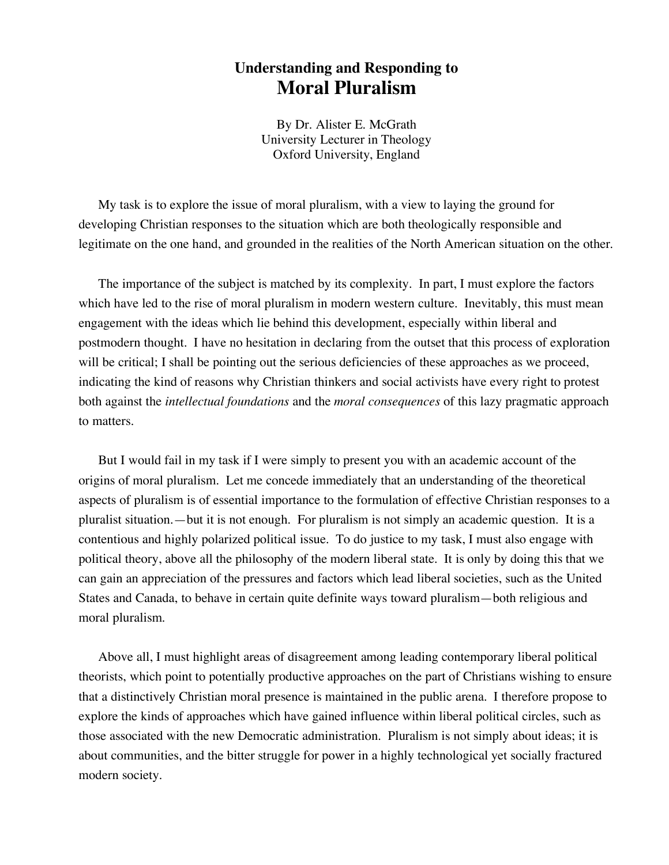# **Understanding and Responding to Moral Pluralism**

By Dr. Alister E. McGrath University Lecturer in Theology Oxford University, England

My task is to explore the issue of moral pluralism, with a view to laying the ground for developing Christian responses to the situation which are both theologically responsible and legitimate on the one hand, and grounded in the realities of the North American situation on the other.

The importance of the subject is matched by its complexity. In part, I must explore the factors which have led to the rise of moral pluralism in modern western culture. Inevitably, this must mean engagement with the ideas which lie behind this development, especially within liberal and postmodern thought. I have no hesitation in declaring from the outset that this process of exploration will be critical; I shall be pointing out the serious deficiencies of these approaches as we proceed, indicating the kind of reasons why Christian thinkers and social activists have every right to protest both against the *intellectual foundations* and the *moral consequences* of this lazy pragmatic approach to matters.

But I would fail in my task if I were simply to present you with an academic account of the origins of moral pluralism. Let me concede immediately that an understanding of the theoretical aspects of pluralism is of essential importance to the formulation of effective Christian responses to a pluralist situation.—but it is not enough. For pluralism is not simply an academic question. It is a contentious and highly polarized political issue. To do justice to my task, I must also engage with political theory, above all the philosophy of the modern liberal state. It is only by doing this that we can gain an appreciation of the pressures and factors which lead liberal societies, such as the United States and Canada, to behave in certain quite definite ways toward pluralism—both religious and moral pluralism.

Above all, I must highlight areas of disagreement among leading contemporary liberal political theorists, which point to potentially productive approaches on the part of Christians wishing to ensure that a distinctively Christian moral presence is maintained in the public arena. I therefore propose to explore the kinds of approaches which have gained influence within liberal political circles, such as those associated with the new Democratic administration. Pluralism is not simply about ideas; it is about communities, and the bitter struggle for power in a highly technological yet socially fractured modern society.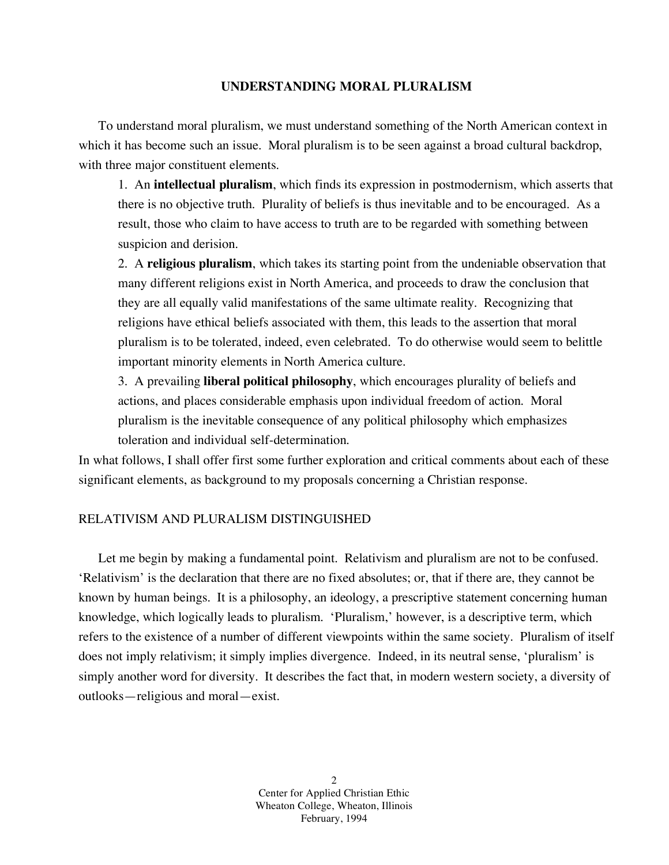# **UNDERSTANDING MORAL PLURALISM**

To understand moral pluralism, we must understand something of the North American context in which it has become such an issue. Moral pluralism is to be seen against a broad cultural backdrop, with three major constituent elements.

1. An **intellectual pluralism**, which finds its expression in postmodernism, which asserts that there is no objective truth. Plurality of beliefs is thus inevitable and to be encouraged. As a result, those who claim to have access to truth are to be regarded with something between suspicion and derision.

2. A **religious pluralism**, which takes its starting point from the undeniable observation that many different religions exist in North America, and proceeds to draw the conclusion that they are all equally valid manifestations of the same ultimate reality. Recognizing that religions have ethical beliefs associated with them, this leads to the assertion that moral pluralism is to be tolerated, indeed, even celebrated. To do otherwise would seem to belittle important minority elements in North America culture.

3. A prevailing **liberal political philosophy**, which encourages plurality of beliefs and actions, and places considerable emphasis upon individual freedom of action. Moral pluralism is the inevitable consequence of any political philosophy which emphasizes toleration and individual self-determination.

In what follows, I shall offer first some further exploration and critical comments about each of these significant elements, as background to my proposals concerning a Christian response.

# RELATIVISM AND PLURALISM DISTINGUISHED

Let me begin by making a fundamental point. Relativism and pluralism are not to be confused. 'Relativism' is the declaration that there are no fixed absolutes; or, that if there are, they cannot be known by human beings. It is a philosophy, an ideology, a prescriptive statement concerning human knowledge, which logically leads to pluralism. 'Pluralism,' however, is a descriptive term, which refers to the existence of a number of different viewpoints within the same society. Pluralism of itself does not imply relativism; it simply implies divergence. Indeed, in its neutral sense, 'pluralism' is simply another word for diversity. It describes the fact that, in modern western society, a diversity of outlooks—religious and moral—exist.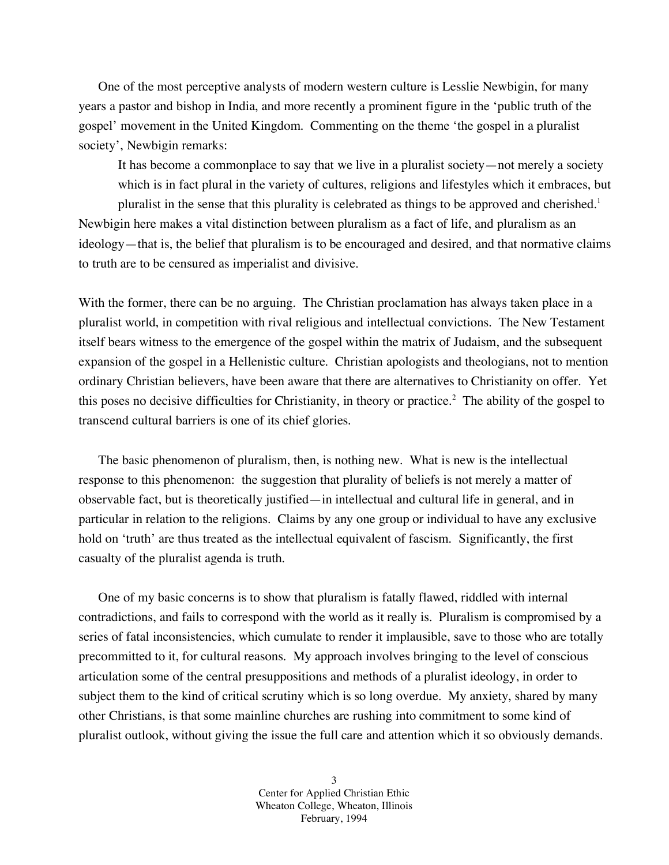One of the most perceptive analysts of modern western culture is Lesslie Newbigin, for many years a pastor and bishop in India, and more recently a prominent figure in the 'public truth of the gospel' movement in the United Kingdom. Commenting on the theme 'the gospel in a pluralist society', Newbigin remarks:

It has become a commonplace to say that we live in a pluralist society—not merely a society which is in fact plural in the variety of cultures, religions and lifestyles which it embraces, but pluralist in the sense that this plurality is celebrated as things to be approved and cherished.<sup>1</sup> Newbigin here makes a vital distinction between pluralism as a fact of life, and pluralism as an ideology—that is, the belief that pluralism is to be encouraged and desired, and that normative claims to truth are to be censured as imperialist and divisive.

With the former, there can be no arguing. The Christian proclamation has always taken place in a pluralist world, in competition with rival religious and intellectual convictions. The New Testament itself bears witness to the emergence of the gospel within the matrix of Judaism, and the subsequent expansion of the gospel in a Hellenistic culture. Christian apologists and theologians, not to mention ordinary Christian believers, have been aware that there are alternatives to Christianity on offer. Yet this poses no decisive difficulties for Christianity, in theory or practice. <sup>2</sup> The ability of the gospel to transcend cultural barriers is one of its chief glories.

The basic phenomenon of pluralism, then, is nothing new. What is new is the intellectual response to this phenomenon: the suggestion that plurality of beliefs is not merely a matter of observable fact, but is theoretically justified—in intellectual and cultural life in general, and in particular in relation to the religions. Claims by any one group or individual to have any exclusive hold on 'truth' are thus treated as the intellectual equivalent of fascism. Significantly, the first casualty of the pluralist agenda is truth.

One of my basic concerns is to show that pluralism is fatally flawed, riddled with internal contradictions, and fails to correspond with the world as it really is. Pluralism is compromised by a series of fatal inconsistencies, which cumulate to render it implausible, save to those who are totally precommitted to it, for cultural reasons. My approach involves bringing to the level of conscious articulation some of the central presuppositions and methods of a pluralist ideology, in order to subject them to the kind of critical scrutiny which is so long overdue. My anxiety, shared by many other Christians, is that some mainline churches are rushing into commitment to some kind of pluralist outlook, without giving the issue the full care and attention which it so obviously demands.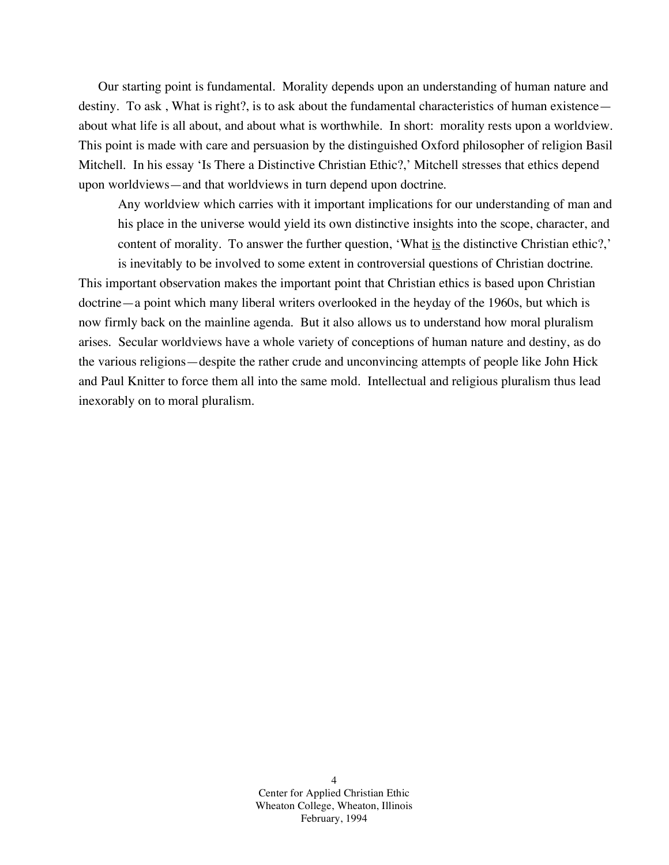Our starting point is fundamental. Morality depends upon an understanding of human nature and destiny. To ask, What is right?, is to ask about the fundamental characteristics of human existence about what life is all about, and about what is worthwhile. In short: morality rests upon a worldview. This point is made with care and persuasion by the distinguished Oxford philosopher of religion Basil Mitchell. In his essay 'Is There a Distinctive Christian Ethic?,' Mitchell stresses that ethics depend upon worldviews—and that worldviews in turn depend upon doctrine.

Any worldview which carries with it important implications for our understanding of man and his place in the universe would yield its own distinctive insights into the scope, character, and content of morality. To answer the further question, 'What is the distinctive Christian ethic?,'

is inevitably to be involved to some extent in controversial questions of Christian doctrine. This important observation makes the important point that Christian ethics is based upon Christian doctrine—a point which many liberal writers overlooked in the heyday of the 1960s, but which is now firmly back on the mainline agenda. But it also allows us to understand how moral pluralism arises. Secular worldviews have a whole variety of conceptions of human nature and destiny, as do the various religions—despite the rather crude and unconvincing attempts of people like John Hick and Paul Knitter to force them all into the same mold. Intellectual and religious pluralism thus lead inexorably on to moral pluralism.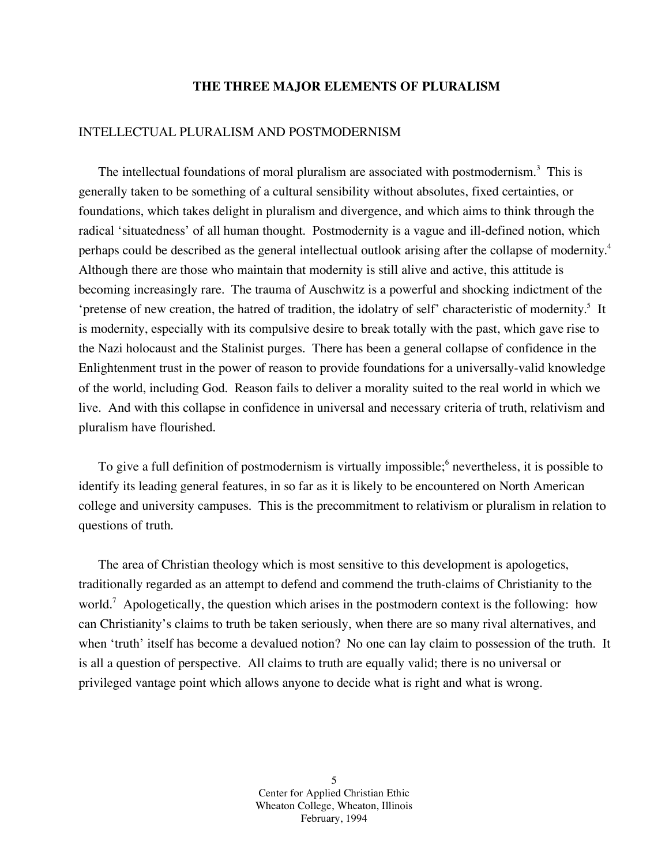## **THE THREE MAJOR ELEMENTS OF PLURALISM**

# INTELLECTUAL PLURALISM AND POSTMODERNISM

The intellectual foundations of moral pluralism are associated with postmodernism.<sup>3</sup> This is generally taken to be something of a cultural sensibility without absolutes, fixed certainties, or foundations, which takes delight in pluralism and divergence, and which aims to think through the radical 'situatedness' of all human thought. Postmodernity is a vague and ill-defined notion, which perhaps could be described as the general intellectual outlook arising after the collapse of modernity. 4 Although there are those who maintain that modernity is still alive and active, this attitude is becoming increasingly rare. The trauma of Auschwitz is a powerful and shocking indictment of the 'pretense of new creation, the hatred of tradition, the idolatry of self' characteristic of modernity. <sup>5</sup> It is modernity, especially with its compulsive desire to break totally with the past, which gave rise to the Nazi holocaust and the Stalinist purges. There has been a general collapse of confidence in the Enlightenment trust in the power of reason to provide foundations for a universally-valid knowledge of the world, including God. Reason fails to deliver a morality suited to the real world in which we live. And with this collapse in confidence in universal and necessary criteria of truth, relativism and pluralism have flourished.

To give a full definition of postmodernism is virtually impossible; <sup>6</sup> nevertheless, it is possible to identify its leading general features, in so far as it is likely to be encountered on North American college and university campuses. This is the precommitment to relativism or pluralism in relation to questions of truth.

The area of Christian theology which is most sensitive to this development is apologetics, traditionally regarded as an attempt to defend and commend the truth-claims of Christianity to the world.<sup>7</sup> Apologetically, the question which arises in the postmodern context is the following: how can Christianity's claims to truth be taken seriously, when there are so many rival alternatives, and when 'truth' itself has become a devalued notion? No one can lay claim to possession of the truth. It is all a question of perspective. All claims to truth are equally valid; there is no universal or privileged vantage point which allows anyone to decide what is right and what is wrong.

> 5 Center for Applied Christian Ethic Wheaton College, Wheaton, Illinois February, 1994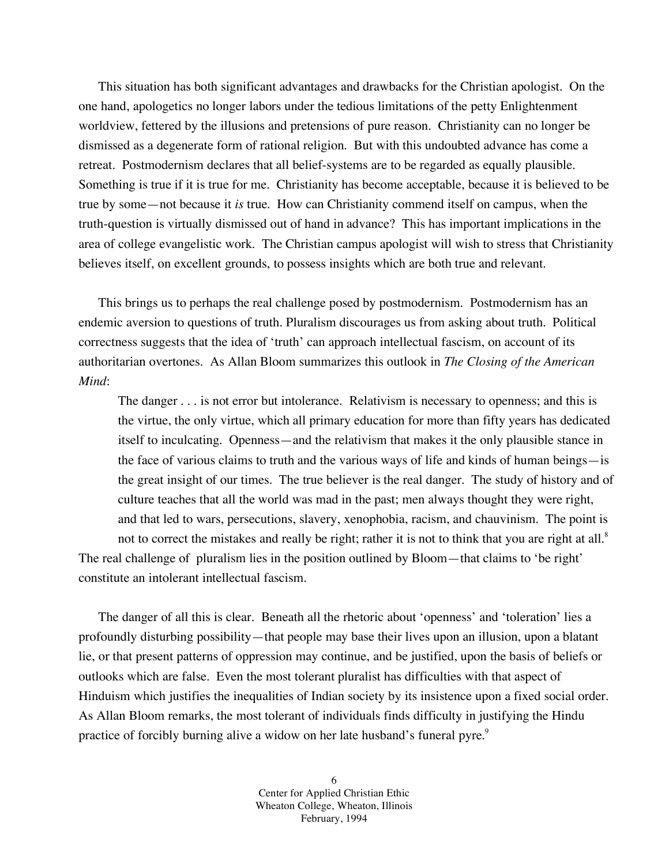This situation has both significant advantages and drawbacks for the Christian apologist. On the one hand, apologetics no longer labors under the tedious limitations of the petty Enlightenment worldview, fettered by the illusions and pretensions of pure reason. Christianity can no longer be dismissed as a degenerate form of rational religion. But with this undoubted advance has come a retreat. Postmodernism declares that all belief-systems are to be regarded as equally plausible. Something is true if it is true for me. Christianity has become acceptable, because it is believed to be true by some—not because it *is* true. How can Christianity commend itself on campus, when the truth-question is virtually dismissed out of hand in advance? This has important implications in the area of college evangelistic work. The Christian campus apologist will wish to stress that Christianity believes itself, on excellent grounds, to possess insights which are both true and relevant.

This brings us to perhaps the real challenge posed by postmodernism. Postmodernism has an endemic aversion to questions of truth. Pluralism discourages us from asking about truth. Political correctness suggests that the idea of 'truth' can approach intellectual fascism, on account of its authoritarian overtones. As Allan Bloom summarizes this outlook in *The Closing of the American Mind*:

The danger . . . is not error but intolerance. Relativism is necessary to openness; and this is the virtue, the only virtue, which all primary education for more than fifty years has dedicated itself to inculcating. Openness—and the relativism that makes it the only plausible stance in the face of various claims to truth and the various ways of life and kinds of human beings—is the great insight of our times. The true believer is the real danger. The study of history and of culture teaches that all the world was mad in the past; men always thought they were right, and that led to wars, persecutions, slavery, xenophobia, racism, and chauvinism. The point is not to correct the mistakes and really be right; rather it is not to think that you are right at all.<sup>8</sup>

The real challenge of pluralism lies in the position outlined by Bloom—that claims to 'be right' constitute an intolerant intellectual fascism.

The danger of all this is clear. Beneath all the rhetoric about 'openness' and 'toleration' lies a profoundly disturbing possibility—that people may base their lives upon an illusion, upon a blatant lie, or that present patterns of oppression may continue, and be justified, upon the basis of beliefs or outlooks which are false. Even the most tolerant pluralist has difficulties with that aspect of Hinduism which justifies the inequalities of Indian society by its insistence upon a fixed social order. As Allan Bloom remarks, the most tolerant of individuals finds difficulty in justifying the Hindu practice of forcibly burning alive a widow on her late husband's funeral pyre.<sup>9</sup>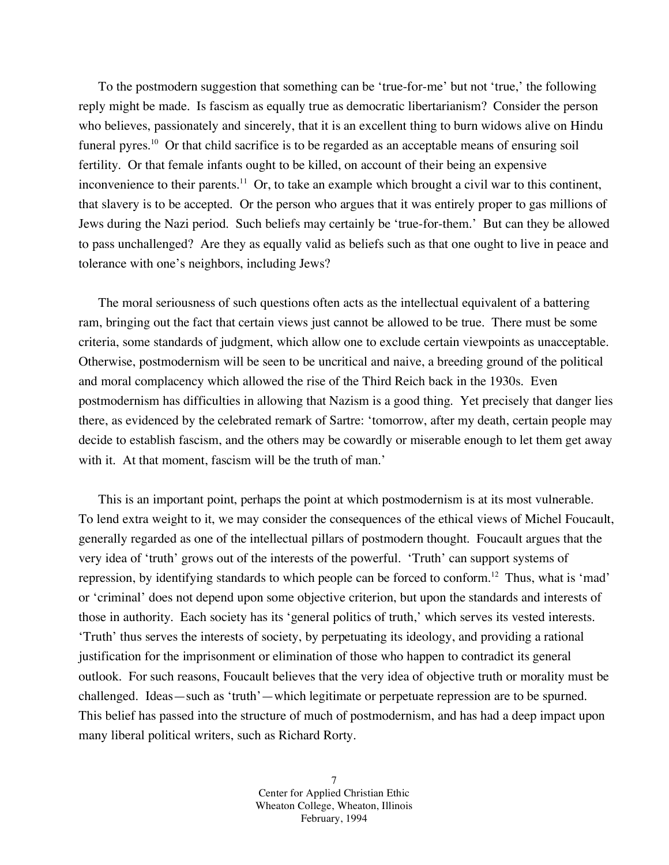To the postmodern suggestion that something can be 'true-for-me' but not 'true,' the following reply might be made. Is fascism as equally true as democratic libertarianism? Consider the person who believes, passionately and sincerely, that it is an excellent thing to burn widows alive on Hindu funeral pyres.<sup>10</sup> Or that child sacrifice is to be regarded as an acceptable means of ensuring soil fertility. Or that female infants ought to be killed, on account of their being an expensive inconvenience to their parents.<sup>11</sup> Or, to take an example which brought a civil war to this continent, that slavery is to be accepted. Or the person who argues that it was entirely proper to gas millions of Jews during the Nazi period. Such beliefs may certainly be 'true-for-them.' But can they be allowed to pass unchallenged? Are they as equally valid as beliefs such as that one ought to live in peace and tolerance with one's neighbors, including Jews?

The moral seriousness of such questions often acts as the intellectual equivalent of a battering ram, bringing out the fact that certain views just cannot be allowed to be true. There must be some criteria, some standards of judgment, which allow one to exclude certain viewpoints as unacceptable. Otherwise, postmodernism will be seen to be uncritical and naive, a breeding ground of the political and moral complacency which allowed the rise of the Third Reich back in the 1930s. Even postmodernism has difficulties in allowing that Nazism is a good thing. Yet precisely that danger lies there, as evidenced by the celebrated remark of Sartre: 'tomorrow, after my death, certain people may decide to establish fascism, and the others may be cowardly or miserable enough to let them get away with it. At that moment, fascism will be the truth of man.'

This is an important point, perhaps the point at which postmodernism is at its most vulnerable. To lend extra weight to it, we may consider the consequences of the ethical views of Michel Foucault, generally regarded as one of the intellectual pillars of postmodern thought. Foucault argues that the very idea of 'truth' grows out of the interests of the powerful. 'Truth' can support systems of repression, by identifying standards to which people can be forced to conform. <sup>12</sup> Thus, what is 'mad' or 'criminal' does not depend upon some objective criterion, but upon the standards and interests of those in authority. Each society has its 'general politics of truth,' which serves its vested interests. 'Truth' thus serves the interests of society, by perpetuating its ideology, and providing a rational justification for the imprisonment or elimination of those who happen to contradict its general outlook. For such reasons, Foucault believes that the very idea of objective truth or morality must be challenged. Ideas—such as 'truth'—which legitimate or perpetuate repression are to be spurned. This belief has passed into the structure of much of postmodernism, and has had a deep impact upon many liberal political writers, such as Richard Rorty.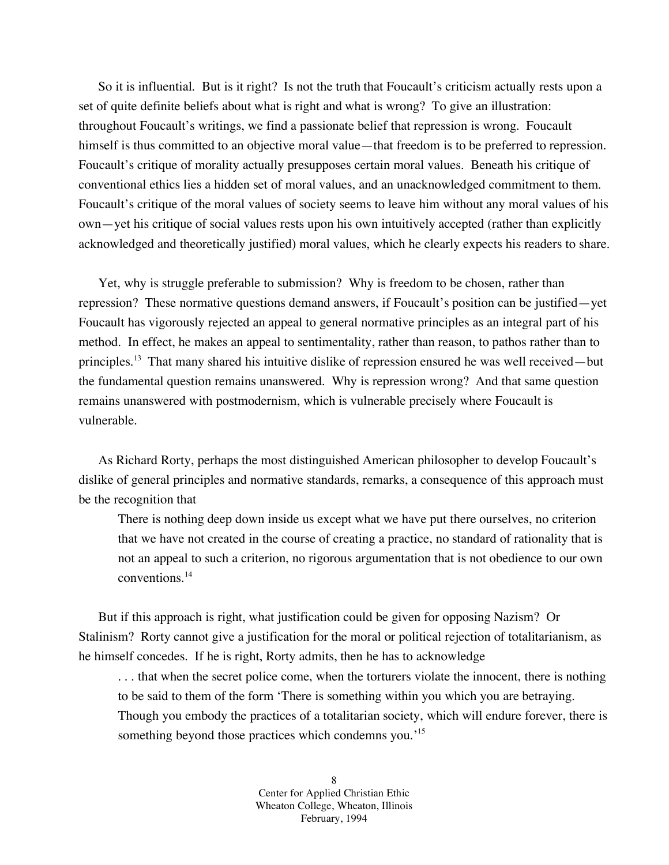So it is influential. But is it right? Is not the truth that Foucault's criticism actually rests upon a set of quite definite beliefs about what is right and what is wrong? To give an illustration: throughout Foucault's writings, we find a passionate belief that repression is wrong. Foucault himself is thus committed to an objective moral value—that freedom is to be preferred to repression. Foucault's critique of morality actually presupposes certain moral values. Beneath his critique of conventional ethics lies a hidden set of moral values, and an unacknowledged commitment to them. Foucault's critique of the moral values of society seems to leave him without any moral values of his own—yet his critique of social values rests upon his own intuitively accepted (rather than explicitly acknowledged and theoretically justified) moral values, which he clearly expects his readers to share.

Yet, why is struggle preferable to submission? Why is freedom to be chosen, rather than repression? These normative questions demand answers, if Foucault's position can be justified—yet Foucault has vigorously rejected an appeal to general normative principles as an integral part of his method. In effect, he makes an appeal to sentimentality, rather than reason, to pathos rather than to principles.<sup>13</sup> That many shared his intuitive dislike of repression ensured he was well received—but the fundamental question remains unanswered. Why is repression wrong? And that same question remains unanswered with postmodernism, which is vulnerable precisely where Foucault is vulnerable.

As Richard Rorty, perhaps the most distinguished American philosopher to develop Foucault's dislike of general principles and normative standards, remarks, a consequence of this approach must be the recognition that

There is nothing deep down inside us except what we have put there ourselves, no criterion that we have not created in the course of creating a practice, no standard of rationality that is not an appeal to such a criterion, no rigorous argumentation that is not obedience to our own conventions. 14

But if this approach is right, what justification could be given for opposing Nazism? Or Stalinism? Rorty cannot give a justification for the moral or political rejection of totalitarianism, as he himself concedes. If he is right, Rorty admits, then he has to acknowledge

. . . that when the secret police come, when the torturers violate the innocent, there is nothing to be said to them of the form 'There is something within you which you are betraying. Though you embody the practices of a totalitarian society, which will endure forever, there is something beyond those practices which condemns you.'<sup>15</sup>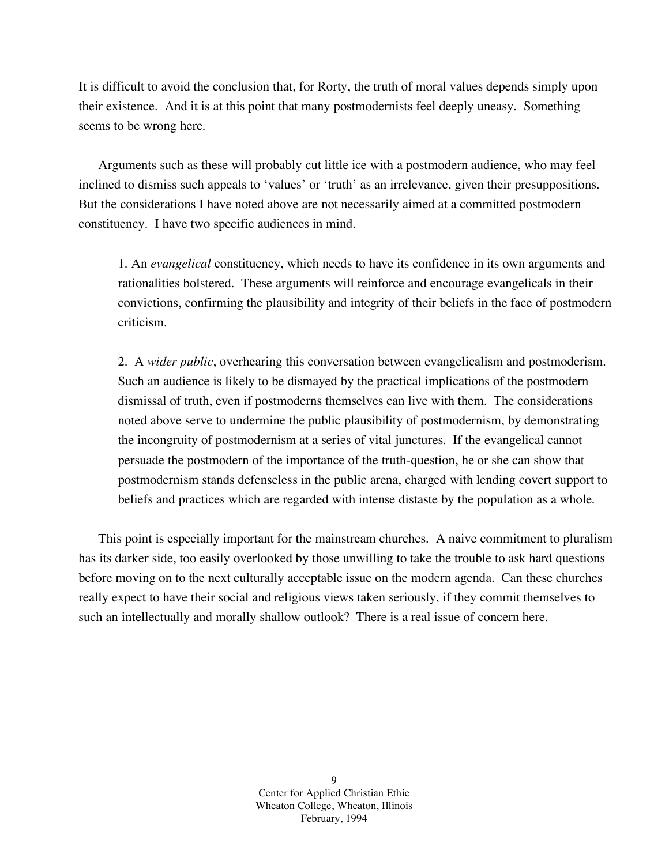It is difficult to avoid the conclusion that, for Rorty, the truth of moral values depends simply upon their existence. And it is at this point that many postmodernists feel deeply uneasy. Something seems to be wrong here.

Arguments such as these will probably cut little ice with a postmodern audience, who may feel inclined to dismiss such appeals to 'values' or 'truth' as an irrelevance, given their presuppositions. But the considerations I have noted above are not necessarily aimed at a committed postmodern constituency. I have two specific audiences in mind.

1. An *evangelical* constituency, which needs to have its confidence in its own arguments and rationalities bolstered. These arguments will reinforce and encourage evangelicals in their convictions, confirming the plausibility and integrity of their beliefs in the face of postmodern criticism.

2. A *wider public*, overhearing this conversation between evangelicalism and postmoderism. Such an audience is likely to be dismayed by the practical implications of the postmodern dismissal of truth, even if postmoderns themselves can live with them. The considerations noted above serve to undermine the public plausibility of postmodernism, by demonstrating the incongruity of postmodernism at a series of vital junctures. If the evangelical cannot persuade the postmodern of the importance of the truth-question, he or she can show that postmodernism stands defenseless in the public arena, charged with lending covert support to beliefs and practices which are regarded with intense distaste by the population as a whole.

This point is especially important for the mainstream churches. A naive commitment to pluralism has its darker side, too easily overlooked by those unwilling to take the trouble to ask hard questions before moving on to the next culturally acceptable issue on the modern agenda. Can these churches really expect to have their social and religious views taken seriously, if they commit themselves to such an intellectually and morally shallow outlook? There is a real issue of concern here.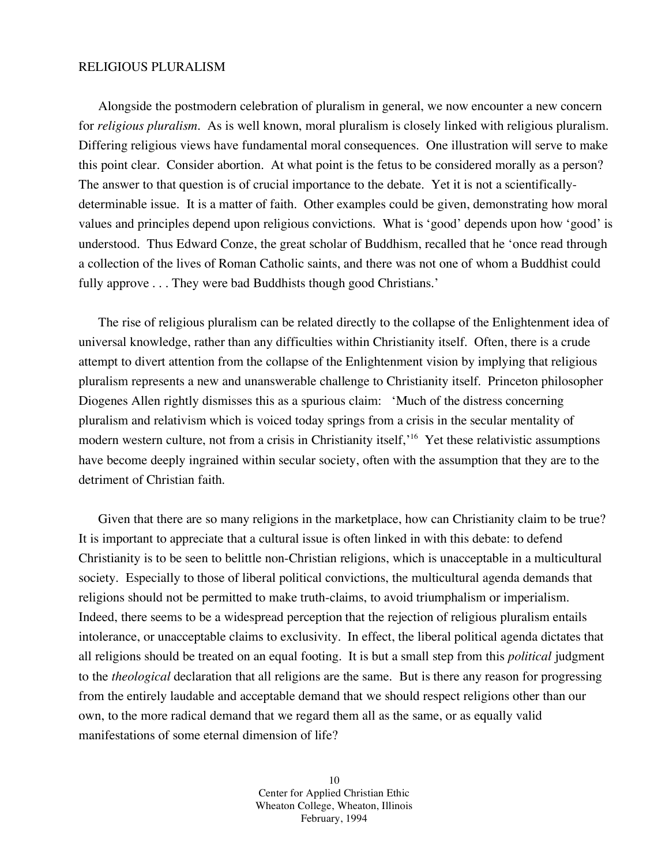#### RELIGIOUS PLURALISM

Alongside the postmodern celebration of pluralism in general, we now encounter a new concern for *religious pluralism*. As is well known, moral pluralism is closely linked with religious pluralism. Differing religious views have fundamental moral consequences. One illustration will serve to make this point clear. Consider abortion. At what point is the fetus to be considered morally as a person? The answer to that question is of crucial importance to the debate. Yet it is not a scientificallydeterminable issue. It is a matter of faith. Other examples could be given, demonstrating how moral values and principles depend upon religious convictions. What is 'good' depends upon how 'good' is understood. Thus Edward Conze, the great scholar of Buddhism, recalled that he 'once read through a collection of the lives of Roman Catholic saints, and there was not one of whom a Buddhist could fully approve . . . They were bad Buddhists though good Christians.'

The rise of religious pluralism can be related directly to the collapse of the Enlightenment idea of universal knowledge, rather than any difficulties within Christianity itself. Often, there is a crude attempt to divert attention from the collapse of the Enlightenment vision by implying that religious pluralism represents a new and unanswerable challenge to Christianity itself. Princeton philosopher Diogenes Allen rightly dismisses this as a spurious claim: 'Much of the distress concerning pluralism and relativism which is voiced today springs from a crisis in the secular mentality of modern western culture, not from a crisis in Christianity itself,' <sup>16</sup> Yet these relativistic assumptions have become deeply ingrained within secular society, often with the assumption that they are to the detriment of Christian faith.

Given that there are so many religions in the marketplace, how can Christianity claim to be true? It is important to appreciate that a cultural issue is often linked in with this debate: to defend Christianity is to be seen to belittle non-Christian religions, which is unacceptable in a multicultural society. Especially to those of liberal political convictions, the multicultural agenda demands that religions should not be permitted to make truth-claims, to avoid triumphalism or imperialism. Indeed, there seems to be a widespread perception that the rejection of religious pluralism entails intolerance, or unacceptable claims to exclusivity. In effect, the liberal political agenda dictates that all religions should be treated on an equal footing. It is but a small step from this *political* judgment to the *theological* declaration that all religions are the same. But is there any reason for progressing from the entirely laudable and acceptable demand that we should respect religions other than our own, to the more radical demand that we regard them all as the same, or as equally valid manifestations of some eternal dimension of life?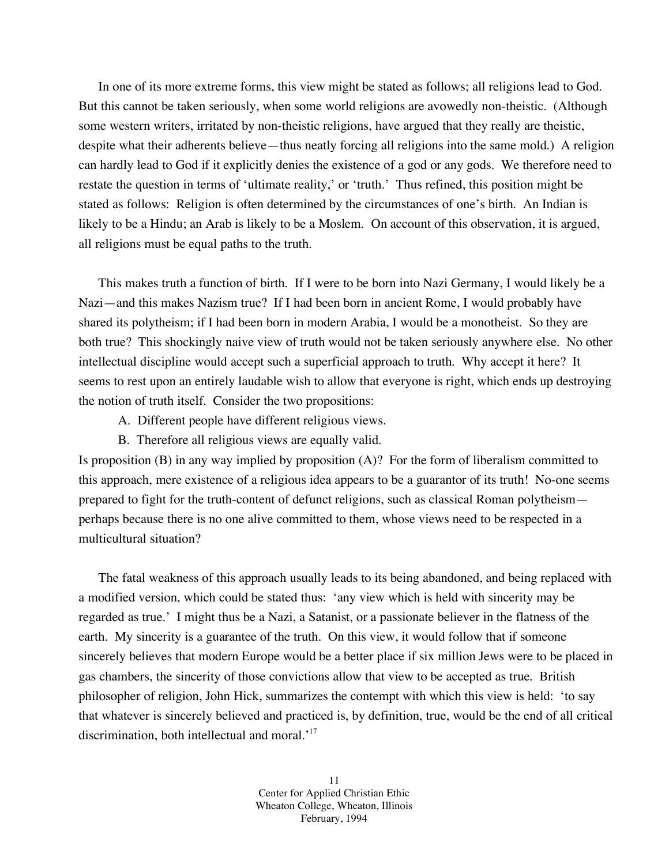In one of its more extreme forms, this view might be stated as follows; all religions lead to God. But this cannot be taken seriously, when some world religions are avowedly non-theistic. (Although some western writers, irritated by non-theistic religions, have argued that they really are theistic, despite what their adherents believe—thus neatly forcing all religions into the same mold.) A religion can hardly lead to God if it explicitly denies the existence of a god or any gods. We therefore need to restate the question in terms of 'ultimate reality,' or 'truth.' Thus refined, this position might be stated as follows: Religion is often determined by the circumstances of one's birth. An Indian is likely to be a Hindu; an Arab is likely to be a Moslem. On account of this observation, it is argued, all religions must be equal paths to the truth.

This makes truth a function of birth. If I were to be born into Nazi Germany, I would likely be a Nazi—and this makes Nazism true? If I had been born in ancient Rome, I would probably have shared its polytheism; if I had been born in modern Arabia, I would be a monotheist. So they are both true? This shockingly naive view of truth would not be taken seriously anywhere else. No other intellectual discipline would accept such a superficial approach to truth. Why accept it here? It seems to rest upon an entirely laudable wish to allow that everyone is right, which ends up destroying the notion of truth itself. Consider the two propositions:

- A. Different people have different religious views.
- B. Therefore all religious views are equally valid.

Is proposition (B) in any way implied by proposition (A)? For the form of liberalism committed to this approach, mere existence of a religious idea appears to be a guarantor of its truth! No-one seems prepared to fight for the truth-content of defunct religions, such as classical Roman polytheism perhaps because there is no one alive committed to them, whose views need to be respected in a multicultural situation?

The fatal weakness of this approach usually leads to its being abandoned, and being replaced with a modified version, which could be stated thus: 'any view which is held with sincerity may be regarded as true.' I might thus be a Nazi, a Satanist, or a passionate believer in the flatness of the earth. My sincerity is a guarantee of the truth. On this view, it would follow that if someone sincerely believes that modern Europe would be a better place if six million Jews were to be placed in gas chambers, the sincerity of those convictions allow that view to be accepted as true. British philosopher of religion, John Hick, summarizes the contempt with which this view is held: 'to say that whatever is sincerely believed and practiced is, by definition, true, would be the end of all critical discrimination, both intellectual and moral.<sup>17</sup>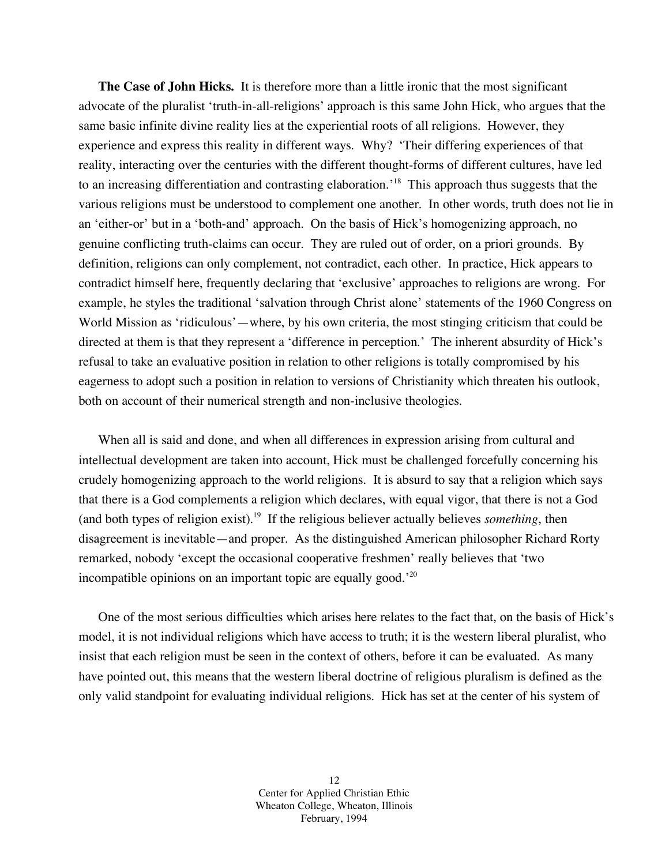**The Case of John Hicks.** It is therefore more than a little ironic that the most significant advocate of the pluralist 'truth-in-all-religions' approach is this same John Hick, who argues that the same basic infinite divine reality lies at the experiential roots of all religions. However, they experience and express this reality in different ways. Why? 'Their differing experiences of that reality, interacting over the centuries with the different thought-forms of different cultures, have led to an increasing differentiation and contrasting elaboration.<sup>'18</sup> This approach thus suggests that the various religions must be understood to complement one another. In other words, truth does not lie in an 'either-or' but in a 'both-and' approach. On the basis of Hick's homogenizing approach, no genuine conflicting truth-claims can occur. They are ruled out of order, on a priori grounds. By definition, religions can only complement, not contradict, each other. In practice, Hick appears to contradict himself here, frequently declaring that 'exclusive' approaches to religions are wrong. For example, he styles the traditional 'salvation through Christ alone' statements of the 1960 Congress on World Mission as 'ridiculous'—where, by his own criteria, the most stinging criticism that could be directed at them is that they represent a 'difference in perception.' The inherent absurdity of Hick's refusal to take an evaluative position in relation to other religions is totally compromised by his eagerness to adopt such a position in relation to versions of Christianity which threaten his outlook, both on account of their numerical strength and non-inclusive theologies.

When all is said and done, and when all differences in expression arising from cultural and intellectual development are taken into account, Hick must be challenged forcefully concerning his crudely homogenizing approach to the world religions. It is absurd to say that a religion which says that there is a God complements a religion which declares, with equal vigor, that there is not a God (and both types of religion exist). <sup>19</sup> If the religious believer actually believes *something*, then disagreement is inevitable—and proper. As the distinguished American philosopher Richard Rorty remarked, nobody 'except the occasional cooperative freshmen' really believes that 'two incompatible opinions on an important topic are equally good.<sup>'20</sup>

One of the most serious difficulties which arises here relates to the fact that, on the basis of Hick's model, it is not individual religions which have access to truth; it is the western liberal pluralist, who insist that each religion must be seen in the context of others, before it can be evaluated. As many have pointed out, this means that the western liberal doctrine of religious pluralism is defined as the only valid standpoint for evaluating individual religions. Hick has set at the center of his system of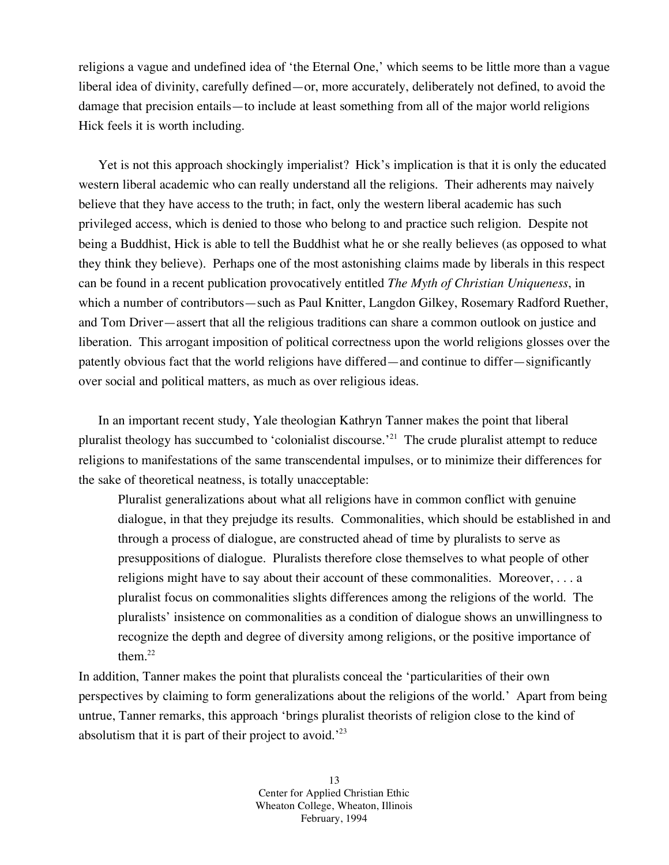religions a vague and undefined idea of 'the Eternal One,' which seems to be little more than a vague liberal idea of divinity, carefully defined—or, more accurately, deliberately not defined, to avoid the damage that precision entails—to include at least something from all of the major world religions Hick feels it is worth including.

Yet is not this approach shockingly imperialist? Hick's implication is that it is only the educated western liberal academic who can really understand all the religions. Their adherents may naively believe that they have access to the truth; in fact, only the western liberal academic has such privileged access, which is denied to those who belong to and practice such religion. Despite not being a Buddhist, Hick is able to tell the Buddhist what he or she really believes (as opposed to what they think they believe). Perhaps one of the most astonishing claims made by liberals in this respect can be found in a recent publication provocatively entitled *The Myth of Christian Uniqueness*, in which a number of contributors—such as Paul Knitter, Langdon Gilkey, Rosemary Radford Ruether, and Tom Driver—assert that all the religious traditions can share a common outlook on justice and liberation. This arrogant imposition of political correctness upon the world religions glosses over the patently obvious fact that the world religions have differed—and continue to differ—significantly over social and political matters, as much as over religious ideas.

In an important recent study, Yale theologian Kathryn Tanner makes the point that liberal pluralist theology has succumbed to 'colonialist discourse.<sup>'21</sup> The crude pluralist attempt to reduce religions to manifestations of the same transcendental impulses, or to minimize their differences for the sake of theoretical neatness, is totally unacceptable:

Pluralist generalizations about what all religions have in common conflict with genuine dialogue, in that they prejudge its results. Commonalities, which should be established in and through a process of dialogue, are constructed ahead of time by pluralists to serve as presuppositions of dialogue. Pluralists therefore close themselves to what people of other religions might have to say about their account of these commonalities. Moreover, . . . a pluralist focus on commonalities slights differences among the religions of the world. The pluralists' insistence on commonalities as a condition of dialogue shows an unwillingness to recognize the depth and degree of diversity among religions, or the positive importance of them. $^{22}$ 

In addition, Tanner makes the point that pluralists conceal the 'particularities of their own perspectives by claiming to form generalizations about the religions of the world.' Apart from being untrue, Tanner remarks, this approach 'brings pluralist theorists of religion close to the kind of absolutism that it is part of their project to avoid.'<sup>23</sup>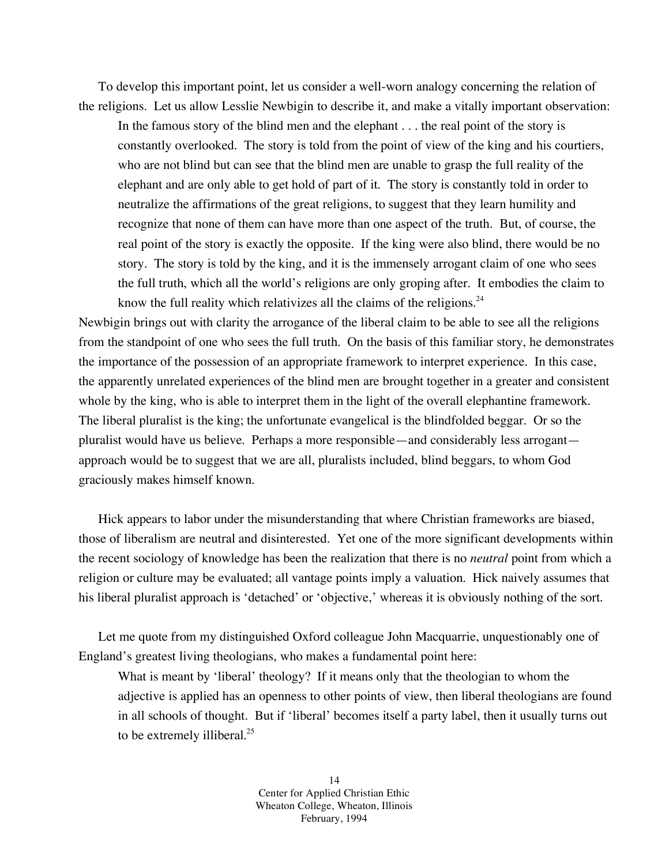To develop this important point, let us consider a well-worn analogy concerning the relation of the religions. Let us allow Lesslie Newbigin to describe it, and make a vitally important observation:

In the famous story of the blind men and the elephant . . . the real point of the story is constantly overlooked. The story is told from the point of view of the king and his courtiers, who are not blind but can see that the blind men are unable to grasp the full reality of the elephant and are only able to get hold of part of it. The story is constantly told in order to neutralize the affirmations of the great religions, to suggest that they learn humility and recognize that none of them can have more than one aspect of the truth. But, of course, the real point of the story is exactly the opposite. If the king were also blind, there would be no story. The story is told by the king, and it is the immensely arrogant claim of one who sees the full truth, which all the world's religions are only groping after. It embodies the claim to know the full reality which relativizes all the claims of the religions.<sup>24</sup>

Newbigin brings out with clarity the arrogance of the liberal claim to be able to see all the religions from the standpoint of one who sees the full truth. On the basis of this familiar story, he demonstrates the importance of the possession of an appropriate framework to interpret experience. In this case, the apparently unrelated experiences of the blind men are brought together in a greater and consistent whole by the king, who is able to interpret them in the light of the overall elephantine framework. The liberal pluralist is the king; the unfortunate evangelical is the blindfolded beggar. Or so the pluralist would have us believe. Perhaps a more responsible—and considerably less arrogant approach would be to suggest that we are all, pluralists included, blind beggars, to whom God graciously makes himself known.

Hick appears to labor under the misunderstanding that where Christian frameworks are biased, those of liberalism are neutral and disinterested. Yet one of the more significant developments within the recent sociology of knowledge has been the realization that there is no *neutral* point from which a religion or culture may be evaluated; all vantage points imply a valuation. Hick naively assumes that his liberal pluralist approach is 'detached' or 'objective,' whereas it is obviously nothing of the sort.

Let me quote from my distinguished Oxford colleague John Macquarrie, unquestionably one of England's greatest living theologians, who makes a fundamental point here:

What is meant by 'liberal' theology? If it means only that the theologian to whom the adjective is applied has an openness to other points of view, then liberal theologians are found in all schools of thought. But if 'liberal' becomes itself a party label, then it usually turns out to be extremely illiberal.<sup>25</sup>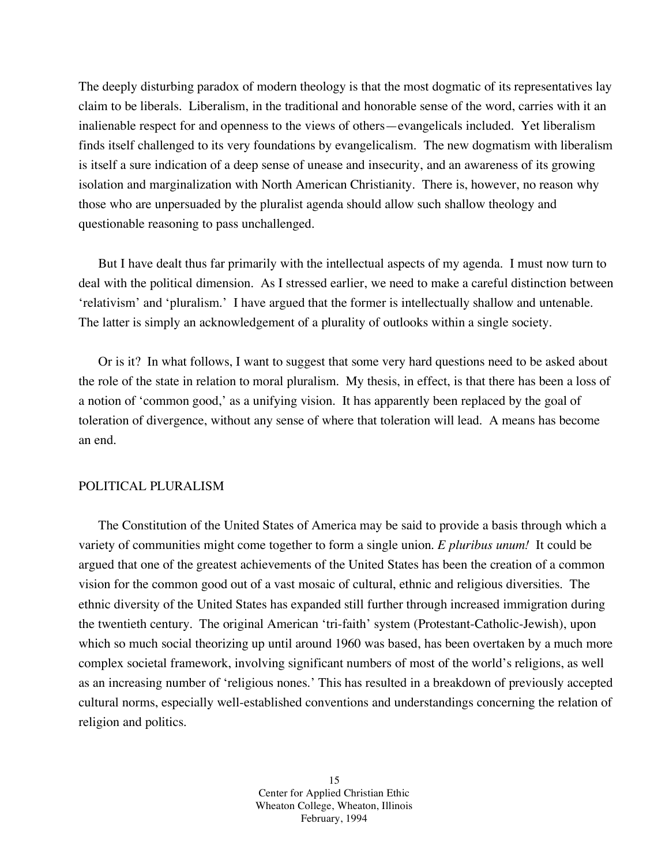The deeply disturbing paradox of modern theology is that the most dogmatic of its representatives lay claim to be liberals. Liberalism, in the traditional and honorable sense of the word, carries with it an inalienable respect for and openness to the views of others—evangelicals included. Yet liberalism finds itself challenged to its very foundations by evangelicalism. The new dogmatism with liberalism is itself a sure indication of a deep sense of unease and insecurity, and an awareness of its growing isolation and marginalization with North American Christianity. There is, however, no reason why those who are unpersuaded by the pluralist agenda should allow such shallow theology and questionable reasoning to pass unchallenged.

But I have dealt thus far primarily with the intellectual aspects of my agenda. I must now turn to deal with the political dimension. As I stressed earlier, we need to make a careful distinction between 'relativism' and 'pluralism.' I have argued that the former is intellectually shallow and untenable. The latter is simply an acknowledgement of a plurality of outlooks within a single society.

Or is it? In what follows, I want to suggest that some very hard questions need to be asked about the role of the state in relation to moral pluralism. My thesis, in effect, is that there has been a loss of a notion of 'common good,' as a unifying vision. It has apparently been replaced by the goal of toleration of divergence, without any sense of where that toleration will lead. A means has become an end.

## POLITICAL PLURALISM

The Constitution of the United States of America may be said to provide a basis through which a variety of communities might come together to form a single union. *E pluribus unum!* It could be argued that one of the greatest achievements of the United States has been the creation of a common vision for the common good out of a vast mosaic of cultural, ethnic and religious diversities. The ethnic diversity of the United States has expanded still further through increased immigration during the twentieth century. The original American 'tri-faith' system (Protestant-Catholic-Jewish), upon which so much social theorizing up until around 1960 was based, has been overtaken by a much more complex societal framework, involving significant numbers of most of the world's religions, as well as an increasing number of 'religious nones.' This has resulted in a breakdown of previously accepted cultural norms, especially well-established conventions and understandings concerning the relation of religion and politics.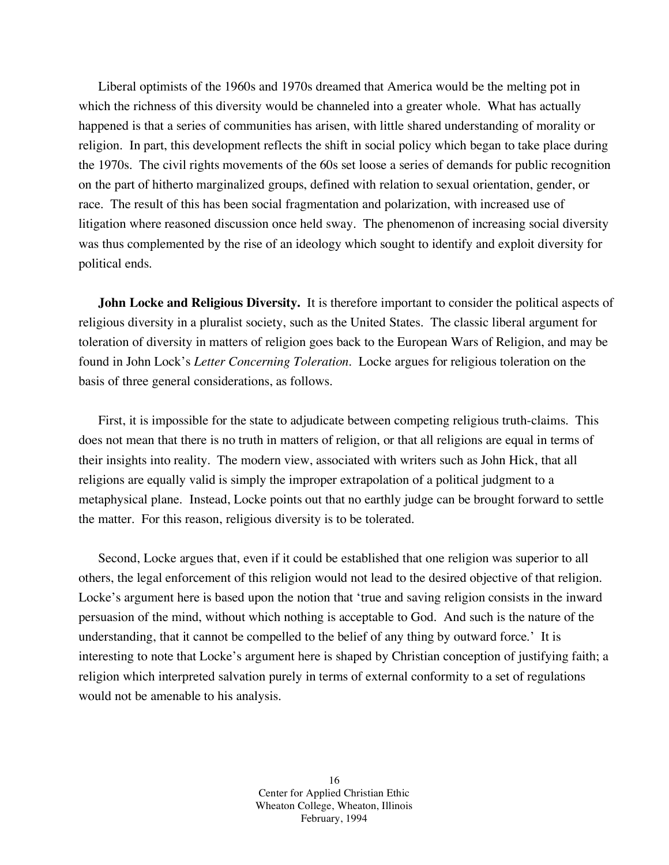Liberal optimists of the 1960s and 1970s dreamed that America would be the melting pot in which the richness of this diversity would be channeled into a greater whole. What has actually happened is that a series of communities has arisen, with little shared understanding of morality or religion. In part, this development reflects the shift in social policy which began to take place during the 1970s. The civil rights movements of the 60s set loose a series of demands for public recognition on the part of hitherto marginalized groups, defined with relation to sexual orientation, gender, or race. The result of this has been social fragmentation and polarization, with increased use of litigation where reasoned discussion once held sway. The phenomenon of increasing social diversity was thus complemented by the rise of an ideology which sought to identify and exploit diversity for political ends.

**John Locke and Religious Diversity.** It is therefore important to consider the political aspects of religious diversity in a pluralist society, such as the United States. The classic liberal argument for toleration of diversity in matters of religion goes back to the European Wars of Religion, and may be found in John Lock's *Letter Concerning Toleration*. Locke argues for religious toleration on the basis of three general considerations, as follows.

First, it is impossible for the state to adjudicate between competing religious truth-claims. This does not mean that there is no truth in matters of religion, or that all religions are equal in terms of their insights into reality. The modern view, associated with writers such as John Hick, that all religions are equally valid is simply the improper extrapolation of a political judgment to a metaphysical plane. Instead, Locke points out that no earthly judge can be brought forward to settle the matter. For this reason, religious diversity is to be tolerated.

Second, Locke argues that, even if it could be established that one religion was superior to all others, the legal enforcement of this religion would not lead to the desired objective of that religion. Locke's argument here is based upon the notion that 'true and saving religion consists in the inward persuasion of the mind, without which nothing is acceptable to God. And such is the nature of the understanding, that it cannot be compelled to the belief of any thing by outward force.' It is interesting to note that Locke's argument here is shaped by Christian conception of justifying faith; a religion which interpreted salvation purely in terms of external conformity to a set of regulations would not be amenable to his analysis.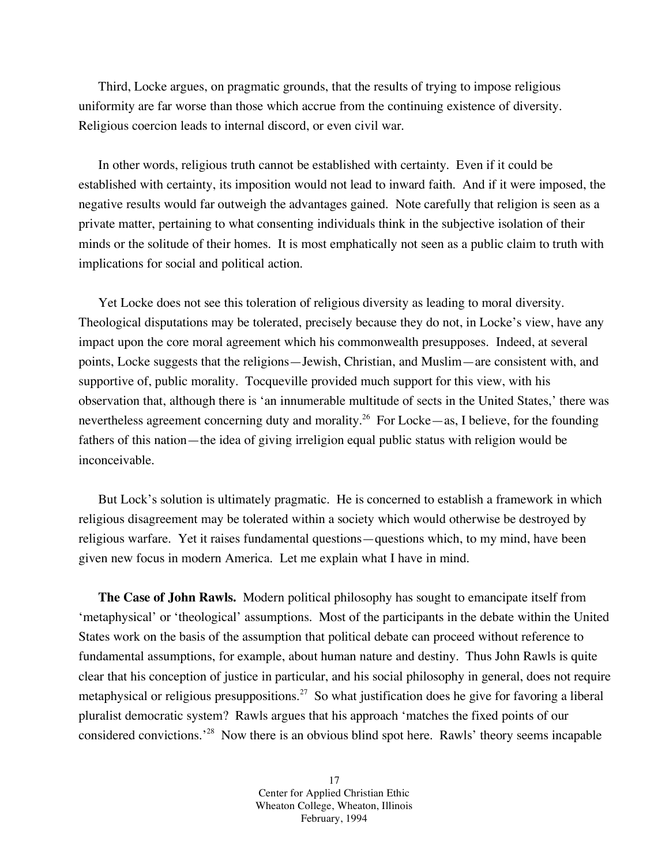Third, Locke argues, on pragmatic grounds, that the results of trying to impose religious uniformity are far worse than those which accrue from the continuing existence of diversity. Religious coercion leads to internal discord, or even civil war.

In other words, religious truth cannot be established with certainty. Even if it could be established with certainty, its imposition would not lead to inward faith. And if it were imposed, the negative results would far outweigh the advantages gained. Note carefully that religion is seen as a private matter, pertaining to what consenting individuals think in the subjective isolation of their minds or the solitude of their homes. It is most emphatically not seen as a public claim to truth with implications for social and political action.

Yet Locke does not see this toleration of religious diversity as leading to moral diversity. Theological disputations may be tolerated, precisely because they do not, in Locke's view, have any impact upon the core moral agreement which his commonwealth presupposes. Indeed, at several points, Locke suggests that the religions—Jewish, Christian, and Muslim—are consistent with, and supportive of, public morality. Tocqueville provided much support for this view, with his observation that, although there is 'an innumerable multitude of sects in the United States,' there was nevertheless agreement concerning duty and morality.<sup>26</sup> For Locke—as, I believe, for the founding fathers of this nation—the idea of giving irreligion equal public status with religion would be inconceivable.

But Lock's solution is ultimately pragmatic. He is concerned to establish a framework in which religious disagreement may be tolerated within a society which would otherwise be destroyed by religious warfare. Yet it raises fundamental questions—questions which, to my mind, have been given new focus in modern America. Let me explain what I have in mind.

**The Case of John Rawls.** Modern political philosophy has sought to emancipate itself from 'metaphysical' or 'theological' assumptions. Most of the participants in the debate within the United States work on the basis of the assumption that political debate can proceed without reference to fundamental assumptions, for example, about human nature and destiny. Thus John Rawls is quite clear that his conception of justice in particular, and his social philosophy in general, does not require metaphysical or religious presuppositions. <sup>27</sup> So what justification does he give for favoring a liberal pluralist democratic system? Rawls argues that his approach 'matches the fixed points of our considered convictions.' <sup>28</sup> Now there is an obvious blind spot here. Rawls' theory seems incapable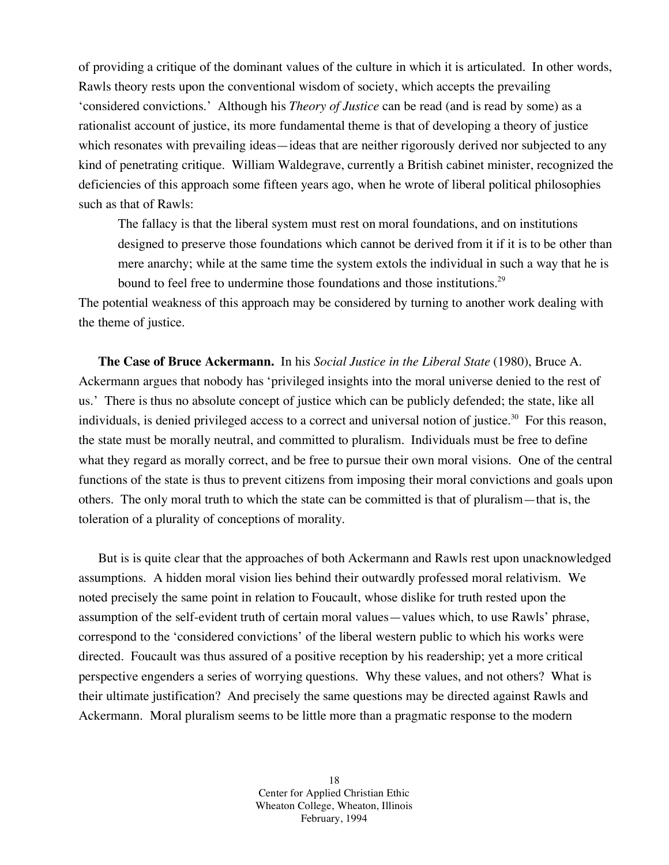of providing a critique of the dominant values of the culture in which it is articulated. In other words, Rawls theory rests upon the conventional wisdom of society, which accepts the prevailing 'considered convictions.' Although his *Theory of Justice* can be read (and is read by some) as a rationalist account of justice, its more fundamental theme is that of developing a theory of justice which resonates with prevailing ideas—ideas that are neither rigorously derived nor subjected to any kind of penetrating critique. William Waldegrave, currently a British cabinet minister, recognized the deficiencies of this approach some fifteen years ago, when he wrote of liberal political philosophies such as that of Rawls:

The fallacy is that the liberal system must rest on moral foundations, and on institutions designed to preserve those foundations which cannot be derived from it if it is to be other than mere anarchy; while at the same time the system extols the individual in such a way that he is bound to feel free to undermine those foundations and those institutions.<sup>29</sup>

The potential weakness of this approach may be considered by turning to another work dealing with the theme of justice.

**The Case of Bruce Ackermann.** In his *Social Justice in the Liberal State* (1980), Bruce A. Ackermann argues that nobody has 'privileged insights into the moral universe denied to the rest of us.' There is thus no absolute concept of justice which can be publicly defended; the state, like all individuals, is denied privileged access to a correct and universal notion of justice. <sup>30</sup> For this reason, the state must be morally neutral, and committed to pluralism. Individuals must be free to define what they regard as morally correct, and be free to pursue their own moral visions. One of the central functions of the state is thus to prevent citizens from imposing their moral convictions and goals upon others. The only moral truth to which the state can be committed is that of pluralism—that is, the toleration of a plurality of conceptions of morality.

But is is quite clear that the approaches of both Ackermann and Rawls rest upon unacknowledged assumptions. A hidden moral vision lies behind their outwardly professed moral relativism. We noted precisely the same point in relation to Foucault, whose dislike for truth rested upon the assumption of the self-evident truth of certain moral values—values which, to use Rawls' phrase, correspond to the 'considered convictions' of the liberal western public to which his works were directed. Foucault was thus assured of a positive reception by his readership; yet a more critical perspective engenders a series of worrying questions. Why these values, and not others? What is their ultimate justification? And precisely the same questions may be directed against Rawls and Ackermann. Moral pluralism seems to be little more than a pragmatic response to the modern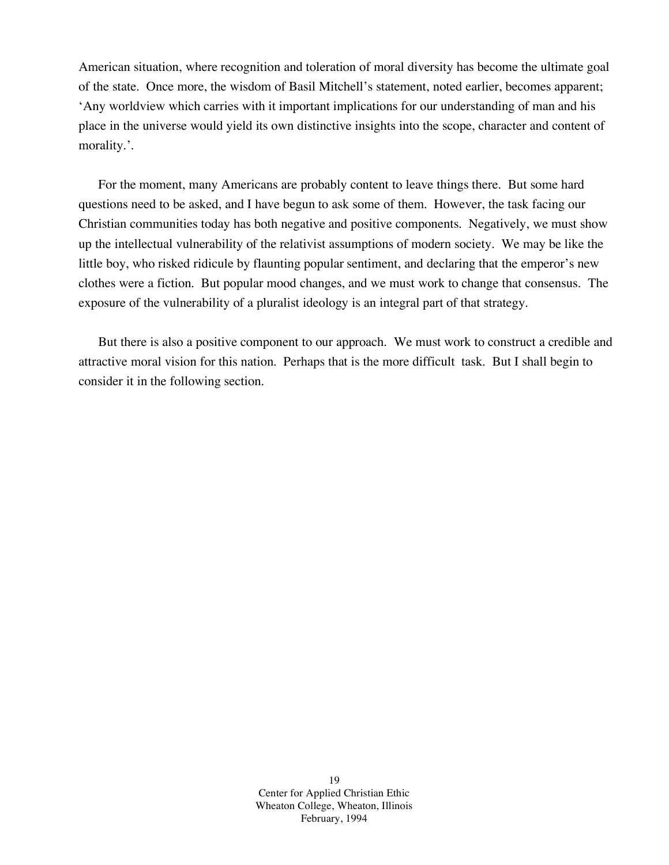American situation, where recognition and toleration of moral diversity has become the ultimate goal of the state. Once more, the wisdom of Basil Mitchell's statement, noted earlier, becomes apparent; 'Any worldview which carries with it important implications for our understanding of man and his place in the universe would yield its own distinctive insights into the scope, character and content of morality.'.

For the moment, many Americans are probably content to leave things there. But some hard questions need to be asked, and I have begun to ask some of them. However, the task facing our Christian communities today has both negative and positive components. Negatively, we must show up the intellectual vulnerability of the relativist assumptions of modern society. We may be like the little boy, who risked ridicule by flaunting popular sentiment, and declaring that the emperor's new clothes were a fiction. But popular mood changes, and we must work to change that consensus. The exposure of the vulnerability of a pluralist ideology is an integral part of that strategy.

But there is also a positive component to our approach. We must work to construct a credible and attractive moral vision for this nation. Perhaps that is the more difficult task. But I shall begin to consider it in the following section.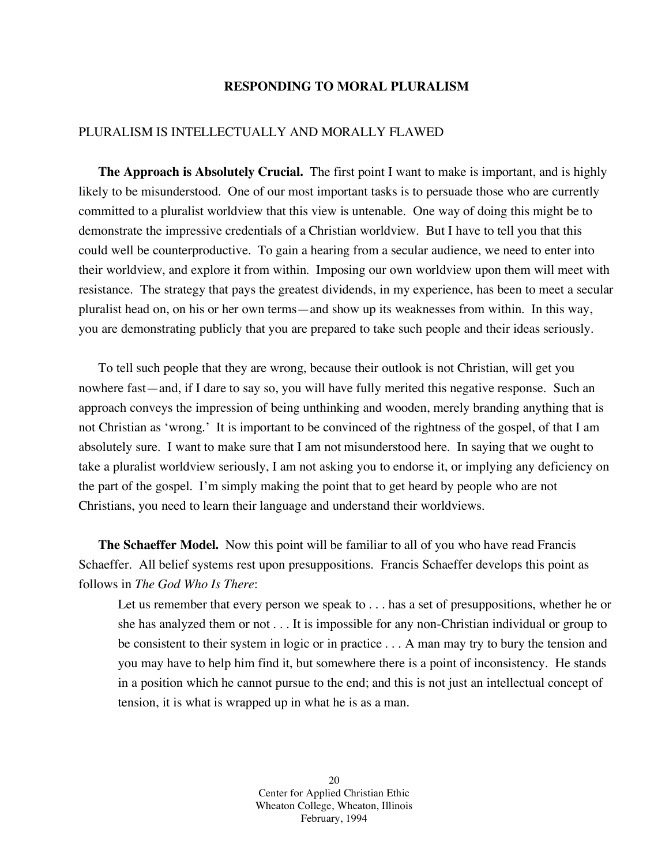#### **RESPONDING TO MORAL PLURALISM**

# PLURALISM IS INTELLECTUALLY AND MORALLY FLAWED

**The Approach is Absolutely Crucial.** The first point I want to make is important, and is highly likely to be misunderstood. One of our most important tasks is to persuade those who are currently committed to a pluralist worldview that this view is untenable. One way of doing this might be to demonstrate the impressive credentials of a Christian worldview. But I have to tell you that this could well be counterproductive. To gain a hearing from a secular audience, we need to enter into their worldview, and explore it from within. Imposing our own worldview upon them will meet with resistance. The strategy that pays the greatest dividends, in my experience, has been to meet a secular pluralist head on, on his or her own terms—and show up its weaknesses from within. In this way, you are demonstrating publicly that you are prepared to take such people and their ideas seriously.

To tell such people that they are wrong, because their outlook is not Christian, will get you nowhere fast—and, if I dare to say so, you will have fully merited this negative response. Such an approach conveys the impression of being unthinking and wooden, merely branding anything that is not Christian as 'wrong.' It is important to be convinced of the rightness of the gospel, of that I am absolutely sure. I want to make sure that I am not misunderstood here. In saying that we ought to take a pluralist worldview seriously, I am not asking you to endorse it, or implying any deficiency on the part of the gospel. I'm simply making the point that to get heard by people who are not Christians, you need to learn their language and understand their worldviews.

**The Schaeffer Model.** Now this point will be familiar to all of you who have read Francis Schaeffer. All belief systems rest upon presuppositions. Francis Schaeffer develops this point as follows in *The God Who Is There*:

Let us remember that every person we speak to . . . has a set of presuppositions, whether he or she has analyzed them or not . . . It is impossible for any non-Christian individual or group to be consistent to their system in logic or in practice . . . A man may try to bury the tension and you may have to help him find it, but somewhere there is a point of inconsistency. He stands in a position which he cannot pursue to the end; and this is not just an intellectual concept of tension, it is what is wrapped up in what he is as a man.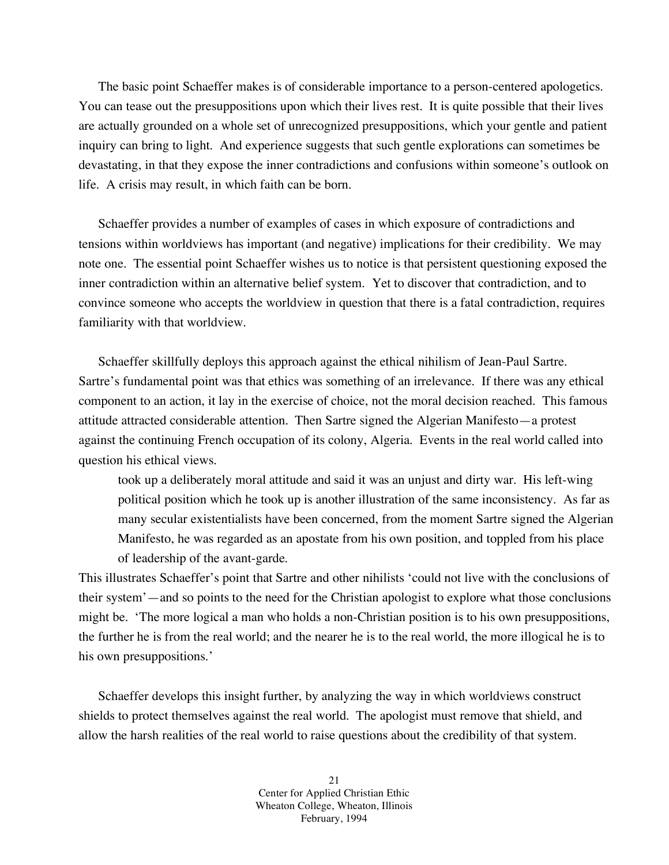The basic point Schaeffer makes is of considerable importance to a person-centered apologetics. You can tease out the presuppositions upon which their lives rest. It is quite possible that their lives are actually grounded on a whole set of unrecognized presuppositions, which your gentle and patient inquiry can bring to light. And experience suggests that such gentle explorations can sometimes be devastating, in that they expose the inner contradictions and confusions within someone's outlook on life. A crisis may result, in which faith can be born.

Schaeffer provides a number of examples of cases in which exposure of contradictions and tensions within worldviews has important (and negative) implications for their credibility. We may note one. The essential point Schaeffer wishes us to notice is that persistent questioning exposed the inner contradiction within an alternative belief system. Yet to discover that contradiction, and to convince someone who accepts the worldview in question that there is a fatal contradiction, requires familiarity with that worldview.

Schaeffer skillfully deploys this approach against the ethical nihilism of Jean-Paul Sartre. Sartre's fundamental point was that ethics was something of an irrelevance. If there was any ethical component to an action, it lay in the exercise of choice, not the moral decision reached. This famous attitude attracted considerable attention. Then Sartre signed the Algerian Manifesto—a protest against the continuing French occupation of its colony, Algeria. Events in the real world called into question his ethical views.

took up a deliberately moral attitude and said it was an unjust and dirty war. His left-wing political position which he took up is another illustration of the same inconsistency. As far as many secular existentialists have been concerned, from the moment Sartre signed the Algerian Manifesto, he was regarded as an apostate from his own position, and toppled from his place of leadership of the avant-garde.

This illustrates Schaeffer's point that Sartre and other nihilists 'could not live with the conclusions of their system'—and so points to the need for the Christian apologist to explore what those conclusions might be. 'The more logical a man who holds a non-Christian position is to his own presuppositions, the further he is from the real world; and the nearer he is to the real world, the more illogical he is to his own presuppositions.'

Schaeffer develops this insight further, by analyzing the way in which worldviews construct shields to protect themselves against the real world. The apologist must remove that shield, and allow the harsh realities of the real world to raise questions about the credibility of that system.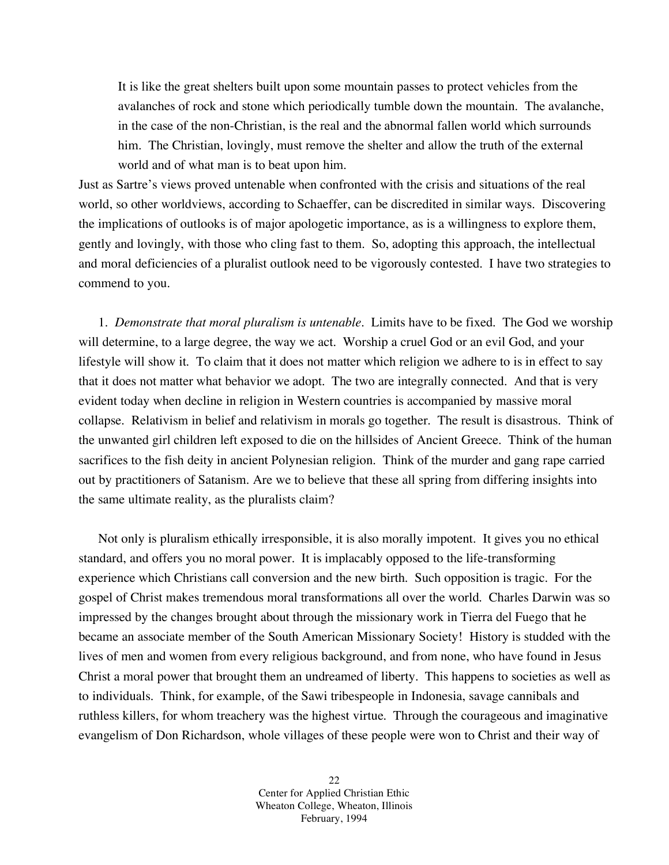It is like the great shelters built upon some mountain passes to protect vehicles from the avalanches of rock and stone which periodically tumble down the mountain. The avalanche, in the case of the non-Christian, is the real and the abnormal fallen world which surrounds him. The Christian, lovingly, must remove the shelter and allow the truth of the external world and of what man is to beat upon him.

Just as Sartre's views proved untenable when confronted with the crisis and situations of the real world, so other worldviews, according to Schaeffer, can be discredited in similar ways. Discovering the implications of outlooks is of major apologetic importance, as is a willingness to explore them, gently and lovingly, with those who cling fast to them. So, adopting this approach, the intellectual and moral deficiencies of a pluralist outlook need to be vigorously contested. I have two strategies to commend to you.

1. *Demonstrate that moral pluralism is untenable*. Limits have to be fixed. The God we worship will determine, to a large degree, the way we act. Worship a cruel God or an evil God, and your lifestyle will show it. To claim that it does not matter which religion we adhere to is in effect to say that it does not matter what behavior we adopt. The two are integrally connected. And that is very evident today when decline in religion in Western countries is accompanied by massive moral collapse. Relativism in belief and relativism in morals go together. The result is disastrous. Think of the unwanted girl children left exposed to die on the hillsides of Ancient Greece. Think of the human sacrifices to the fish deity in ancient Polynesian religion. Think of the murder and gang rape carried out by practitioners of Satanism. Are we to believe that these all spring from differing insights into the same ultimate reality, as the pluralists claim?

Not only is pluralism ethically irresponsible, it is also morally impotent. It gives you no ethical standard, and offers you no moral power. It is implacably opposed to the life-transforming experience which Christians call conversion and the new birth. Such opposition is tragic. For the gospel of Christ makes tremendous moral transformations all over the world. Charles Darwin was so impressed by the changes brought about through the missionary work in Tierra del Fuego that he became an associate member of the South American Missionary Society! History is studded with the lives of men and women from every religious background, and from none, who have found in Jesus Christ a moral power that brought them an undreamed of liberty. This happens to societies as well as to individuals. Think, for example, of the Sawi tribespeople in Indonesia, savage cannibals and ruthless killers, for whom treachery was the highest virtue. Through the courageous and imaginative evangelism of Don Richardson, whole villages of these people were won to Christ and their way of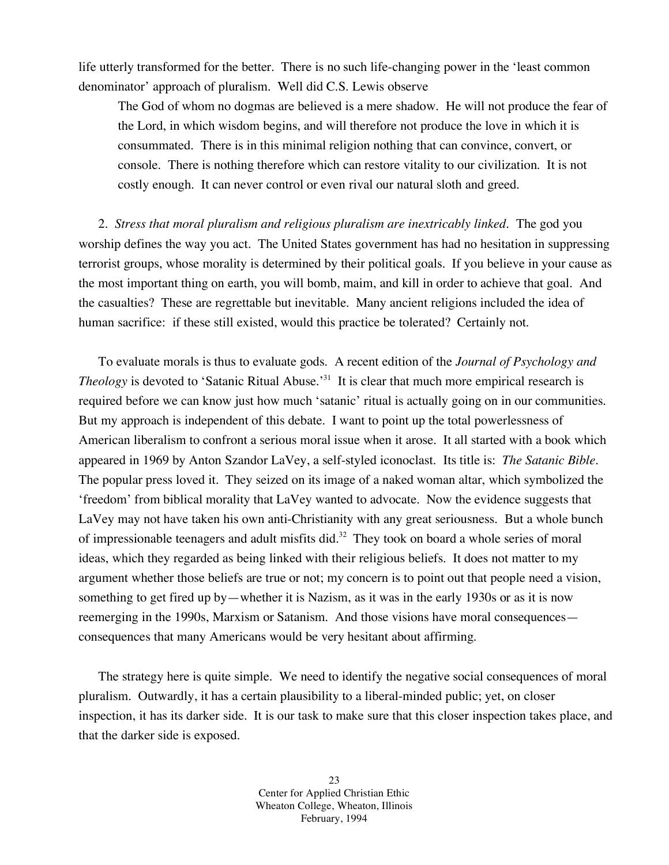life utterly transformed for the better. There is no such life-changing power in the 'least common denominator' approach of pluralism. Well did C.S. Lewis observe

The God of whom no dogmas are believed is a mere shadow. He will not produce the fear of the Lord, in which wisdom begins, and will therefore not produce the love in which it is consummated. There is in this minimal religion nothing that can convince, convert, or console. There is nothing therefore which can restore vitality to our civilization. It is not costly enough. It can never control or even rival our natural sloth and greed.

2. *Stress that moral pluralism and religious pluralism are inextricably linked*. The god you worship defines the way you act. The United States government has had no hesitation in suppressing terrorist groups, whose morality is determined by their political goals. If you believe in your cause as the most important thing on earth, you will bomb, maim, and kill in order to achieve that goal. And the casualties? These are regrettable but inevitable. Many ancient religions included the idea of human sacrifice: if these still existed, would this practice be tolerated? Certainly not.

To evaluate morals is thus to evaluate gods. A recent edition of the *Journal of Psychology and Theology* is devoted to 'Satanic Ritual Abuse.' <sup>31</sup> It is clear that much more empirical research is required before we can know just how much 'satanic' ritual is actually going on in our communities. But my approach is independent of this debate. I want to point up the total powerlessness of American liberalism to confront a serious moral issue when it arose. It all started with a book which appeared in 1969 by Anton Szandor LaVey, a self-styled iconoclast. Its title is: *The Satanic Bible*. The popular press loved it. They seized on its image of a naked woman altar, which symbolized the 'freedom' from biblical morality that LaVey wanted to advocate. Now the evidence suggests that LaVey may not have taken his own anti-Christianity with any great seriousness. But a whole bunch of impressionable teenagers and adult misfits did.<sup>32</sup> They took on board a whole series of moral ideas, which they regarded as being linked with their religious beliefs. It does not matter to my argument whether those beliefs are true or not; my concern is to point out that people need a vision, something to get fired up by—whether it is Nazism, as it was in the early 1930s or as it is now reemerging in the 1990s, Marxism or Satanism. And those visions have moral consequences consequences that many Americans would be very hesitant about affirming.

The strategy here is quite simple. We need to identify the negative social consequences of moral pluralism. Outwardly, it has a certain plausibility to a liberal-minded public; yet, on closer inspection, it has its darker side. It is our task to make sure that this closer inspection takes place, and that the darker side is exposed.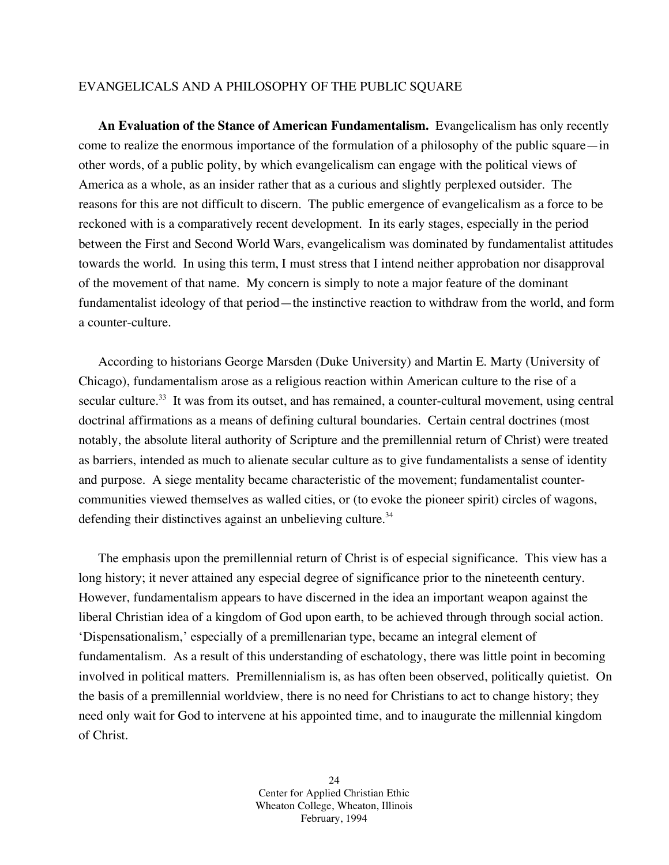# EVANGELICALS AND A PHILOSOPHY OF THE PUBLIC SQUARE

**An Evaluation of the Stance of American Fundamentalism.** Evangelicalism has only recently come to realize the enormous importance of the formulation of a philosophy of the public square—in other words, of a public polity, by which evangelicalism can engage with the political views of America as a whole, as an insider rather that as a curious and slightly perplexed outsider. The reasons for this are not difficult to discern. The public emergence of evangelicalism as a force to be reckoned with is a comparatively recent development. In its early stages, especially in the period between the First and Second World Wars, evangelicalism was dominated by fundamentalist attitudes towards the world. In using this term, I must stress that I intend neither approbation nor disapproval of the movement of that name. My concern is simply to note a major feature of the dominant fundamentalist ideology of that period—the instinctive reaction to withdraw from the world, and form a counter-culture.

According to historians George Marsden (Duke University) and Martin E. Marty (University of Chicago), fundamentalism arose as a religious reaction within American culture to the rise of a secular culture.<sup>33</sup> It was from its outset, and has remained, a counter-cultural movement, using central doctrinal affirmations as a means of defining cultural boundaries. Certain central doctrines (most notably, the absolute literal authority of Scripture and the premillennial return of Christ) were treated as barriers, intended as much to alienate secular culture as to give fundamentalists a sense of identity and purpose. A siege mentality became characteristic of the movement; fundamentalist countercommunities viewed themselves as walled cities, or (to evoke the pioneer spirit) circles of wagons, defending their distinctives against an unbelieving culture.<sup>34</sup>

The emphasis upon the premillennial return of Christ is of especial significance. This view has a long history; it never attained any especial degree of significance prior to the nineteenth century. However, fundamentalism appears to have discerned in the idea an important weapon against the liberal Christian idea of a kingdom of God upon earth, to be achieved through through social action. 'Dispensationalism,' especially of a premillenarian type, became an integral element of fundamentalism. As a result of this understanding of eschatology, there was little point in becoming involved in political matters. Premillennialism is, as has often been observed, politically quietist. On the basis of a premillennial worldview, there is no need for Christians to act to change history; they need only wait for God to intervene at his appointed time, and to inaugurate the millennial kingdom of Christ.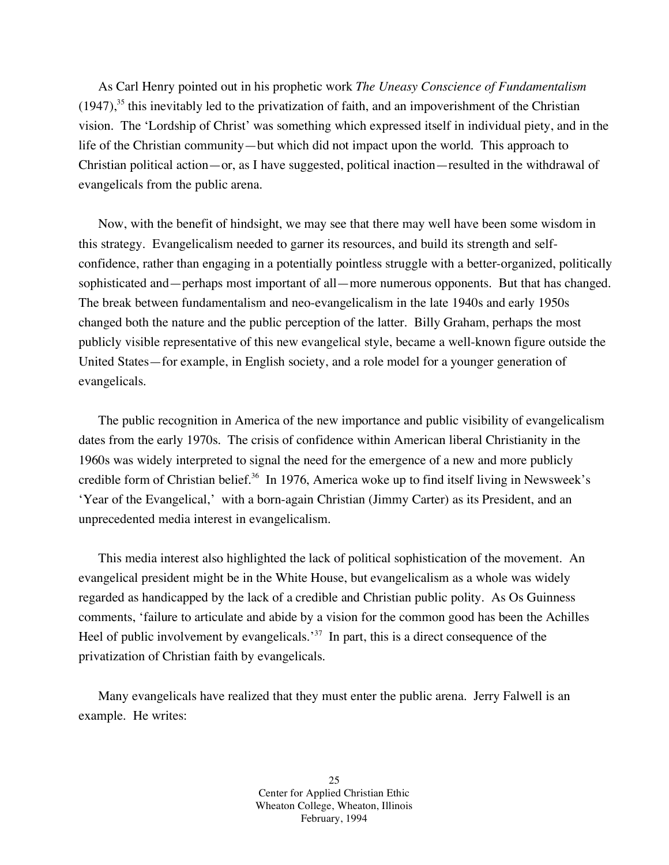As Carl Henry pointed out in his prophetic work *The Uneasy Conscience of Fundamentalism*  $(1947)$ ,<sup>35</sup> this inevitably led to the privatization of faith, and an impoverishment of the Christian vision. The 'Lordship of Christ' was something which expressed itself in individual piety, and in the life of the Christian community—but which did not impact upon the world. This approach to Christian political action—or, as I have suggested, political inaction—resulted in the withdrawal of evangelicals from the public arena.

Now, with the benefit of hindsight, we may see that there may well have been some wisdom in this strategy. Evangelicalism needed to garner its resources, and build its strength and selfconfidence, rather than engaging in a potentially pointless struggle with a better-organized, politically sophisticated and—perhaps most important of all—more numerous opponents. But that has changed. The break between fundamentalism and neo-evangelicalism in the late 1940s and early 1950s changed both the nature and the public perception of the latter. Billy Graham, perhaps the most publicly visible representative of this new evangelical style, became a well-known figure outside the United States—for example, in English society, and a role model for a younger generation of evangelicals.

The public recognition in America of the new importance and public visibility of evangelicalism dates from the early 1970s. The crisis of confidence within American liberal Christianity in the 1960s was widely interpreted to signal the need for the emergence of a new and more publicly credible form of Christian belief.<sup>36</sup> In 1976, America woke up to find itself living in Newsweek's 'Year of the Evangelical,' with a born-again Christian (Jimmy Carter) as its President, and an unprecedented media interest in evangelicalism.

This media interest also highlighted the lack of political sophistication of the movement. An evangelical president might be in the White House, but evangelicalism as a whole was widely regarded as handicapped by the lack of a credible and Christian public polity. As Os Guinness comments, 'failure to articulate and abide by a vision for the common good has been the Achilles Heel of public involvement by evangelicals.<sup>37</sup> In part, this is a direct consequence of the privatization of Christian faith by evangelicals.

Many evangelicals have realized that they must enter the public arena. Jerry Falwell is an example. He writes: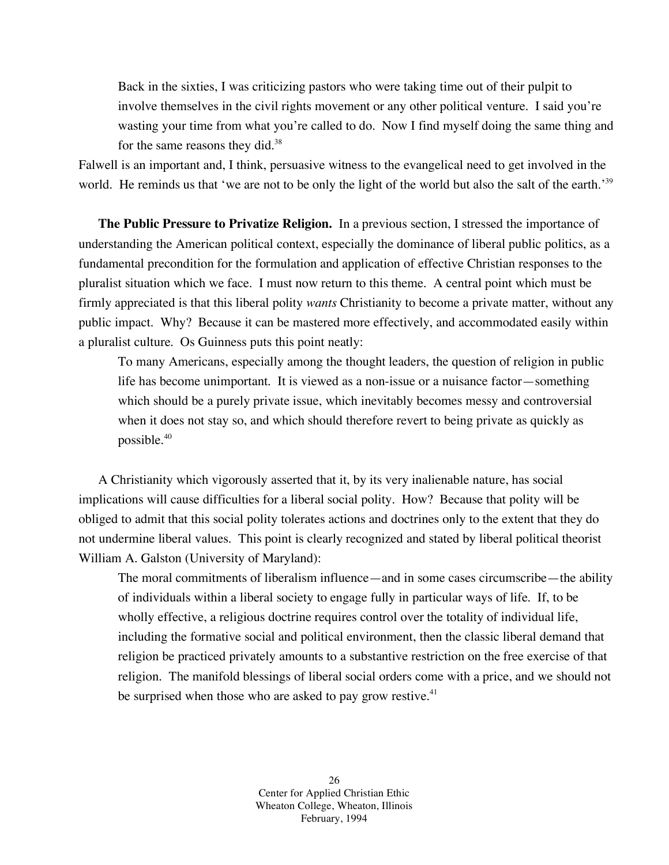Back in the sixties, I was criticizing pastors who were taking time out of their pulpit to involve themselves in the civil rights movement or any other political venture. I said you're wasting your time from what you're called to do. Now I find myself doing the same thing and for the same reasons they did. $38$ 

Falwell is an important and, I think, persuasive witness to the evangelical need to get involved in the world. He reminds us that 'we are not to be only the light of the world but also the salt of the earth.'<sup>39</sup>

**The Public Pressure to Privatize Religion.** In a previous section, I stressed the importance of understanding the American political context, especially the dominance of liberal public politics, as a fundamental precondition for the formulation and application of effective Christian responses to the pluralist situation which we face. I must now return to this theme. A central point which must be firmly appreciated is that this liberal polity *wants* Christianity to become a private matter, without any public impact. Why? Because it can be mastered more effectively, and accommodated easily within a pluralist culture. Os Guinness puts this point neatly:

To many Americans, especially among the thought leaders, the question of religion in public life has become unimportant. It is viewed as a non-issue or a nuisance factor—something which should be a purely private issue, which inevitably becomes messy and controversial when it does not stay so, and which should therefore revert to being private as quickly as possible. 40

A Christianity which vigorously asserted that it, by its very inalienable nature, has social implications will cause difficulties for a liberal social polity. How? Because that polity will be obliged to admit that this social polity tolerates actions and doctrines only to the extent that they do not undermine liberal values. This point is clearly recognized and stated by liberal political theorist William A. Galston (University of Maryland):

The moral commitments of liberalism influence—and in some cases circumscribe—the ability of individuals within a liberal society to engage fully in particular ways of life. If, to be wholly effective, a religious doctrine requires control over the totality of individual life, including the formative social and political environment, then the classic liberal demand that religion be practiced privately amounts to a substantive restriction on the free exercise of that religion. The manifold blessings of liberal social orders come with a price, and we should not be surprised when those who are asked to pay grow restive.<sup>41</sup>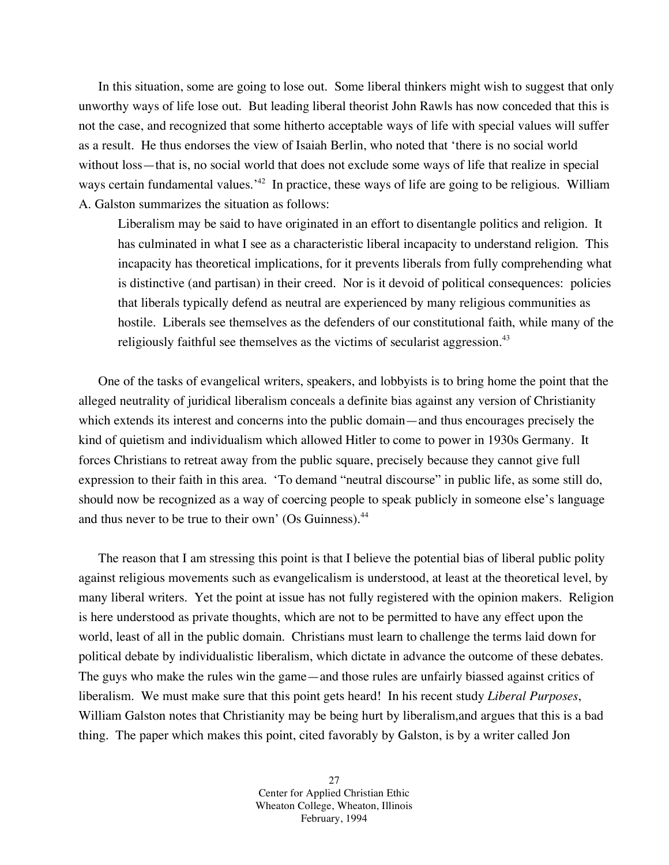In this situation, some are going to lose out. Some liberal thinkers might wish to suggest that only unworthy ways of life lose out. But leading liberal theorist John Rawls has now conceded that this is not the case, and recognized that some hitherto acceptable ways of life with special values will suffer as a result. He thus endorses the view of Isaiah Berlin, who noted that 'there is no social world without loss—that is, no social world that does not exclude some ways of life that realize in special ways certain fundamental values.<sup>12</sup> In practice, these ways of life are going to be religious. William A. Galston summarizes the situation as follows:

Liberalism may be said to have originated in an effort to disentangle politics and religion. It has culminated in what I see as a characteristic liberal incapacity to understand religion. This incapacity has theoretical implications, for it prevents liberals from fully comprehending what is distinctive (and partisan) in their creed. Nor is it devoid of political consequences: policies that liberals typically defend as neutral are experienced by many religious communities as hostile. Liberals see themselves as the defenders of our constitutional faith, while many of the religiously faithful see themselves as the victims of secularist aggression.<sup>43</sup>

One of the tasks of evangelical writers, speakers, and lobbyists is to bring home the point that the alleged neutrality of juridical liberalism conceals a definite bias against any version of Christianity which extends its interest and concerns into the public domain—and thus encourages precisely the kind of quietism and individualism which allowed Hitler to come to power in 1930s Germany. It forces Christians to retreat away from the public square, precisely because they cannot give full expression to their faith in this area. 'To demand "neutral discourse" in public life, as some still do, should now be recognized as a way of coercing people to speak publicly in someone else's language and thus never to be true to their own' (Os Guinness).<sup>44</sup>

The reason that I am stressing this point is that I believe the potential bias of liberal public polity against religious movements such as evangelicalism is understood, at least at the theoretical level, by many liberal writers. Yet the point at issue has not fully registered with the opinion makers. Religion is here understood as private thoughts, which are not to be permitted to have any effect upon the world, least of all in the public domain. Christians must learn to challenge the terms laid down for political debate by individualistic liberalism, which dictate in advance the outcome of these debates. The guys who make the rules win the game—and those rules are unfairly biassed against critics of liberalism. We must make sure that this point gets heard! In his recent study *Liberal Purposes*, William Galston notes that Christianity may be being hurt by liberalism,and argues that this is a bad thing. The paper which makes this point, cited favorably by Galston, is by a writer called Jon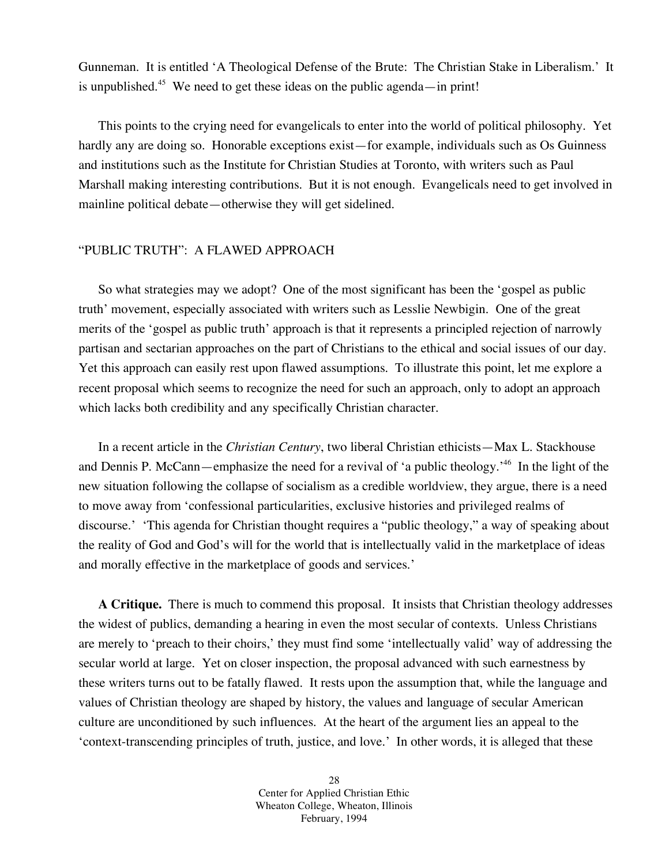Gunneman. It is entitled 'A Theological Defense of the Brute: The Christian Stake in Liberalism.' It is unpublished.<sup>45</sup> We need to get these ideas on the public agenda—in print!

This points to the crying need for evangelicals to enter into the world of political philosophy. Yet hardly any are doing so. Honorable exceptions exist—for example, individuals such as Os Guinness and institutions such as the Institute for Christian Studies at Toronto, with writers such as Paul Marshall making interesting contributions. But it is not enough. Evangelicals need to get involved in mainline political debate—otherwise they will get sidelined.

# "PUBLIC TRUTH": A FLAWED APPROACH

So what strategies may we adopt? One of the most significant has been the 'gospel as public truth' movement, especially associated with writers such as Lesslie Newbigin. One of the great merits of the 'gospel as public truth' approach is that it represents a principled rejection of narrowly partisan and sectarian approaches on the part of Christians to the ethical and social issues of our day. Yet this approach can easily rest upon flawed assumptions. To illustrate this point, let me explore a recent proposal which seems to recognize the need for such an approach, only to adopt an approach which lacks both credibility and any specifically Christian character.

In a recent article in the *Christian Century*, two liberal Christian ethicists—Max L. Stackhouse and Dennis P. McCann—emphasize the need for a revival of 'a public theology.<sup>146</sup> In the light of the new situation following the collapse of socialism as a credible worldview, they argue, there is a need to move away from 'confessional particularities, exclusive histories and privileged realms of discourse.' 'This agenda for Christian thought requires a "public theology," a way of speaking about the reality of God and God's will for the world that is intellectually valid in the marketplace of ideas and morally effective in the marketplace of goods and services.'

**A Critique.** There is much to commend this proposal. It insists that Christian theology addresses the widest of publics, demanding a hearing in even the most secular of contexts. Unless Christians are merely to 'preach to their choirs,' they must find some 'intellectually valid' way of addressing the secular world at large. Yet on closer inspection, the proposal advanced with such earnestness by these writers turns out to be fatally flawed. It rests upon the assumption that, while the language and values of Christian theology are shaped by history, the values and language of secular American culture are unconditioned by such influences. At the heart of the argument lies an appeal to the 'context-transcending principles of truth, justice, and love.' In other words, it is alleged that these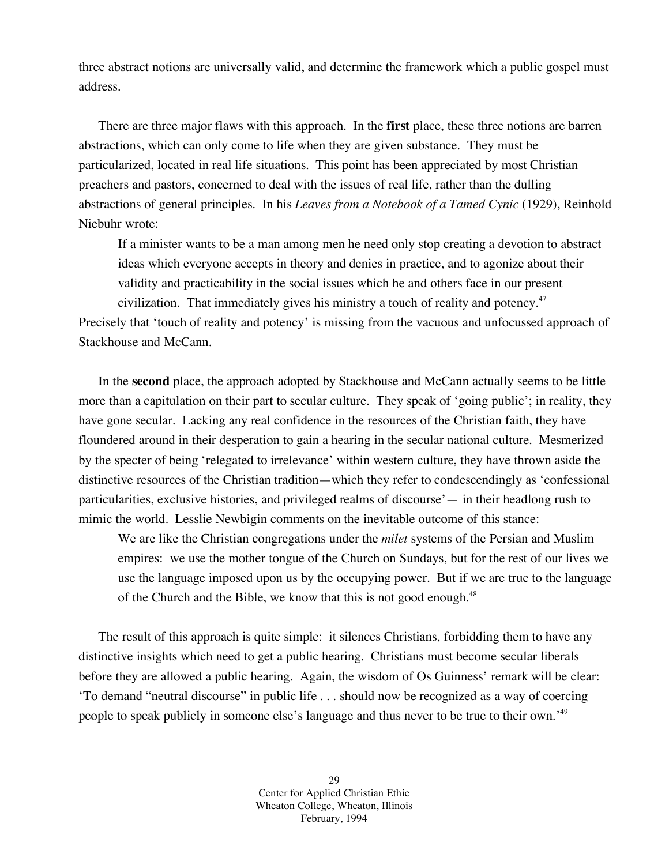three abstract notions are universally valid, and determine the framework which a public gospel must address.

There are three major flaws with this approach. In the **first** place, these three notions are barren abstractions, which can only come to life when they are given substance. They must be particularized, located in real life situations. This point has been appreciated by most Christian preachers and pastors, concerned to deal with the issues of real life, rather than the dulling abstractions of general principles. In his *Leaves from a Notebook of a Tamed Cynic* (1929), Reinhold Niebuhr wrote:

If a minister wants to be a man among men he need only stop creating a devotion to abstract ideas which everyone accepts in theory and denies in practice, and to agonize about their validity and practicability in the social issues which he and others face in our present

civilization. That immediately gives his ministry a touch of reality and potency.<sup>47</sup> Precisely that 'touch of reality and potency' is missing from the vacuous and unfocussed approach of Stackhouse and McCann.

In the **second** place, the approach adopted by Stackhouse and McCann actually seems to be little more than a capitulation on their part to secular culture. They speak of 'going public'; in reality, they have gone secular. Lacking any real confidence in the resources of the Christian faith, they have floundered around in their desperation to gain a hearing in the secular national culture. Mesmerized by the specter of being 'relegated to irrelevance' within western culture, they have thrown aside the distinctive resources of the Christian tradition—which they refer to condescendingly as 'confessional particularities, exclusive histories, and privileged realms of discourse'— in their headlong rush to mimic the world. Lesslie Newbigin comments on the inevitable outcome of this stance:

We are like the Christian congregations under the *milet* systems of the Persian and Muslim empires: we use the mother tongue of the Church on Sundays, but for the rest of our lives we use the language imposed upon us by the occupying power. But if we are true to the language of the Church and the Bible, we know that this is not good enough.<sup>48</sup>

The result of this approach is quite simple: it silences Christians, forbidding them to have any distinctive insights which need to get a public hearing. Christians must become secular liberals before they are allowed a public hearing. Again, the wisdom of Os Guinness' remark will be clear: 'To demand "neutral discourse" in public life . . . should now be recognized as a way of coercing people to speak publicly in someone else's language and thus never to be true to their own.<sup>149</sup>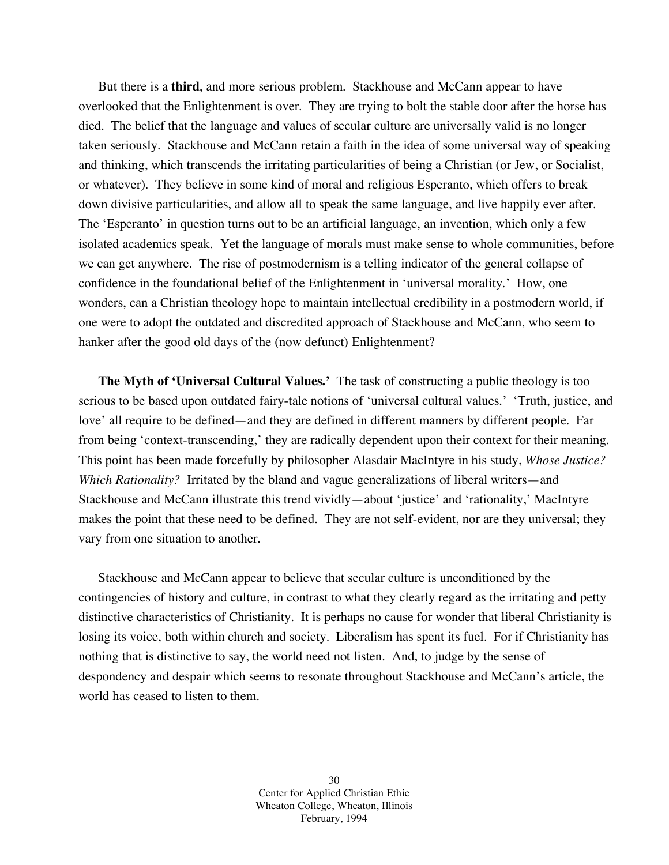But there is a **third**, and more serious problem. Stackhouse and McCann appear to have overlooked that the Enlightenment is over. They are trying to bolt the stable door after the horse has died. The belief that the language and values of secular culture are universally valid is no longer taken seriously. Stackhouse and McCann retain a faith in the idea of some universal way of speaking and thinking, which transcends the irritating particularities of being a Christian (or Jew, or Socialist, or whatever). They believe in some kind of moral and religious Esperanto, which offers to break down divisive particularities, and allow all to speak the same language, and live happily ever after. The 'Esperanto' in question turns out to be an artificial language, an invention, which only a few isolated academics speak. Yet the language of morals must make sense to whole communities, before we can get anywhere. The rise of postmodernism is a telling indicator of the general collapse of confidence in the foundational belief of the Enlightenment in 'universal morality.' How, one wonders, can a Christian theology hope to maintain intellectual credibility in a postmodern world, if one were to adopt the outdated and discredited approach of Stackhouse and McCann, who seem to hanker after the good old days of the (now defunct) Enlightenment?

**The Myth of 'Universal Cultural Values.'** The task of constructing a public theology is too serious to be based upon outdated fairy-tale notions of 'universal cultural values.' 'Truth, justice, and love' all require to be defined—and they are defined in different manners by different people. Far from being 'context-transcending,' they are radically dependent upon their context for their meaning. This point has been made forcefully by philosopher Alasdair MacIntyre in his study, *Whose Justice? Which Rationality?* Irritated by the bland and vague generalizations of liberal writers—and Stackhouse and McCann illustrate this trend vividly—about 'justice' and 'rationality,' MacIntyre makes the point that these need to be defined. They are not self-evident, nor are they universal; they vary from one situation to another.

Stackhouse and McCann appear to believe that secular culture is unconditioned by the contingencies of history and culture, in contrast to what they clearly regard as the irritating and petty distinctive characteristics of Christianity. It is perhaps no cause for wonder that liberal Christianity is losing its voice, both within church and society. Liberalism has spent its fuel. For if Christianity has nothing that is distinctive to say, the world need not listen. And, to judge by the sense of despondency and despair which seems to resonate throughout Stackhouse and McCann's article, the world has ceased to listen to them.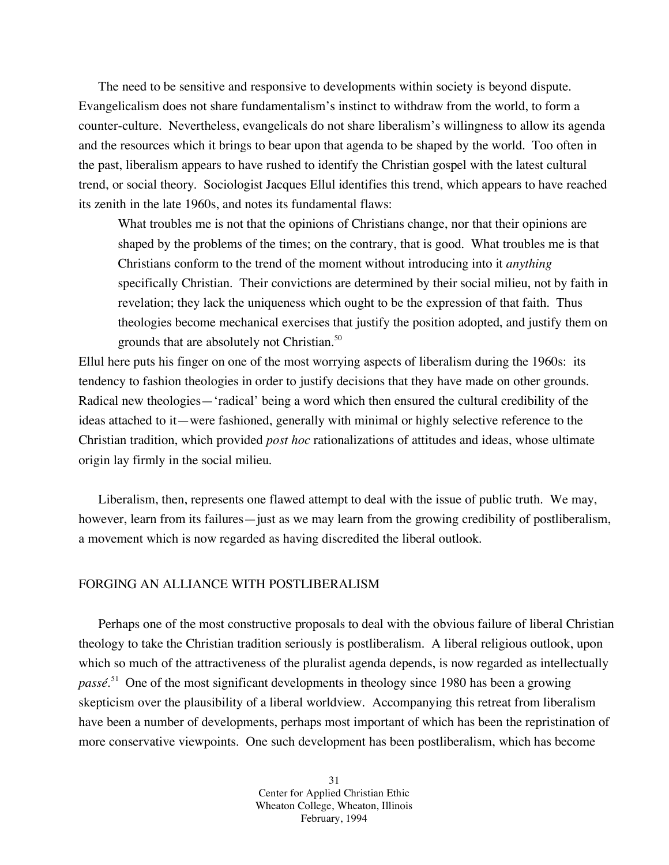The need to be sensitive and responsive to developments within society is beyond dispute. Evangelicalism does not share fundamentalism's instinct to withdraw from the world, to form a counter-culture. Nevertheless, evangelicals do not share liberalism's willingness to allow its agenda and the resources which it brings to bear upon that agenda to be shaped by the world. Too often in the past, liberalism appears to have rushed to identify the Christian gospel with the latest cultural trend, or social theory. Sociologist Jacques Ellul identifies this trend, which appears to have reached its zenith in the late 1960s, and notes its fundamental flaws:

What troubles me is not that the opinions of Christians change, nor that their opinions are shaped by the problems of the times; on the contrary, that is good. What troubles me is that Christians conform to the trend of the moment without introducing into it *anything* specifically Christian. Their convictions are determined by their social milieu, not by faith in revelation; they lack the uniqueness which ought to be the expression of that faith. Thus theologies become mechanical exercises that justify the position adopted, and justify them on grounds that are absolutely not Christian.<sup>50</sup>

Ellul here puts his finger on one of the most worrying aspects of liberalism during the 1960s: its tendency to fashion theologies in order to justify decisions that they have made on other grounds. Radical new theologies—'radical' being a word which then ensured the cultural credibility of the ideas attached to it—were fashioned, generally with minimal or highly selective reference to the Christian tradition, which provided *post hoc* rationalizations of attitudes and ideas, whose ultimate origin lay firmly in the social milieu.

Liberalism, then, represents one flawed attempt to deal with the issue of public truth. We may, however, learn from its failures—just as we may learn from the growing credibility of postliberalism, a movement which is now regarded as having discredited the liberal outlook.

## FORGING AN ALLIANCE WITH POSTLIBERALISM

Perhaps one of the most constructive proposals to deal with the obvious failure of liberal Christian theology to take the Christian tradition seriously is postliberalism. A liberal religious outlook, upon which so much of the attractiveness of the pluralist agenda depends, is now regarded as intellectually *passé*. <sup>51</sup> One of the most significant developments in theology since 1980 has been a growing skepticism over the plausibility of a liberal worldview. Accompanying this retreat from liberalism have been a number of developments, perhaps most important of which has been the repristination of more conservative viewpoints. One such development has been postliberalism, which has become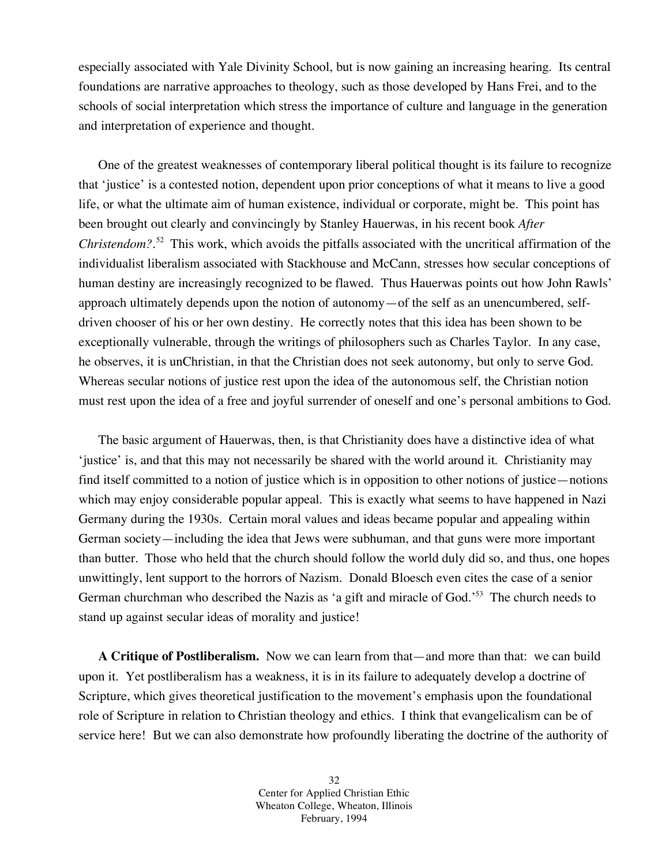especially associated with Yale Divinity School, but is now gaining an increasing hearing. Its central foundations are narrative approaches to theology, such as those developed by Hans Frei, and to the schools of social interpretation which stress the importance of culture and language in the generation and interpretation of experience and thought.

One of the greatest weaknesses of contemporary liberal political thought is its failure to recognize that 'justice' is a contested notion, dependent upon prior conceptions of what it means to live a good life, or what the ultimate aim of human existence, individual or corporate, might be. This point has been brought out clearly and convincingly by Stanley Hauerwas, in his recent book *After Christendom?.*<sup>52</sup> This work, which avoids the pitfalls associated with the uncritical affirmation of the individualist liberalism associated with Stackhouse and McCann, stresses how secular conceptions of human destiny are increasingly recognized to be flawed. Thus Hauerwas points out how John Rawls' approach ultimately depends upon the notion of autonomy—of the self as an unencumbered, selfdriven chooser of his or her own destiny. He correctly notes that this idea has been shown to be exceptionally vulnerable, through the writings of philosophers such as Charles Taylor. In any case, he observes, it is unChristian, in that the Christian does not seek autonomy, but only to serve God. Whereas secular notions of justice rest upon the idea of the autonomous self, the Christian notion must rest upon the idea of a free and joyful surrender of oneself and one's personal ambitions to God.

The basic argument of Hauerwas, then, is that Christianity does have a distinctive idea of what 'justice' is, and that this may not necessarily be shared with the world around it. Christianity may find itself committed to a notion of justice which is in opposition to other notions of justice—notions which may enjoy considerable popular appeal. This is exactly what seems to have happened in Nazi Germany during the 1930s. Certain moral values and ideas became popular and appealing within German society—including the idea that Jews were subhuman, and that guns were more important than butter. Those who held that the church should follow the world duly did so, and thus, one hopes unwittingly, lent support to the horrors of Nazism. Donald Bloesch even cites the case of a senior German churchman who described the Nazis as 'a gift and miracle of God.<sup>553</sup> The church needs to stand up against secular ideas of morality and justice!

**A Critique of Postliberalism.** Now we can learn from that—and more than that: we can build upon it. Yet postliberalism has a weakness, it is in its failure to adequately develop a doctrine of Scripture, which gives theoretical justification to the movement's emphasis upon the foundational role of Scripture in relation to Christian theology and ethics. I think that evangelicalism can be of service here! But we can also demonstrate how profoundly liberating the doctrine of the authority of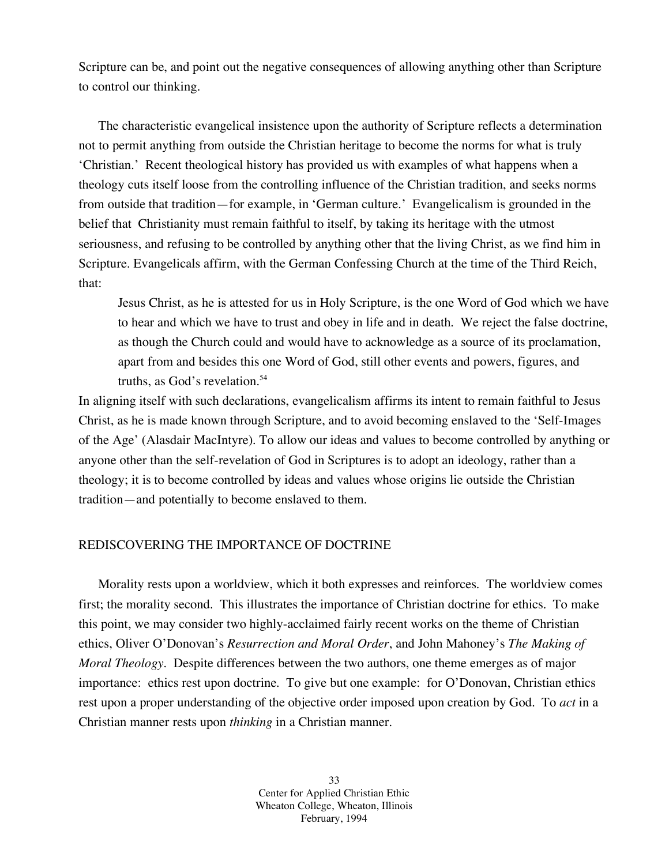Scripture can be, and point out the negative consequences of allowing anything other than Scripture to control our thinking.

The characteristic evangelical insistence upon the authority of Scripture reflects a determination not to permit anything from outside the Christian heritage to become the norms for what is truly 'Christian.' Recent theological history has provided us with examples of what happens when a theology cuts itself loose from the controlling influence of the Christian tradition, and seeks norms from outside that tradition—for example, in 'German culture.' Evangelicalism is grounded in the belief that Christianity must remain faithful to itself, by taking its heritage with the utmost seriousness, and refusing to be controlled by anything other that the living Christ, as we find him in Scripture. Evangelicals affirm, with the German Confessing Church at the time of the Third Reich, that:

Jesus Christ, as he is attested for us in Holy Scripture, is the one Word of God which we have to hear and which we have to trust and obey in life and in death. We reject the false doctrine, as though the Church could and would have to acknowledge as a source of its proclamation, apart from and besides this one Word of God, still other events and powers, figures, and truths, as God's revelation. $54$ 

In aligning itself with such declarations, evangelicalism affirms its intent to remain faithful to Jesus Christ, as he is made known through Scripture, and to avoid becoming enslaved to the 'Self-Images of the Age' (Alasdair MacIntyre). To allow our ideas and values to become controlled by anything or anyone other than the self-revelation of God in Scriptures is to adopt an ideology, rather than a theology; it is to become controlled by ideas and values whose origins lie outside the Christian tradition—and potentially to become enslaved to them.

## REDISCOVERING THE IMPORTANCE OF DOCTRINE

Morality rests upon a worldview, which it both expresses and reinforces. The worldview comes first; the morality second. This illustrates the importance of Christian doctrine for ethics. To make this point, we may consider two highly-acclaimed fairly recent works on the theme of Christian ethics, Oliver O'Donovan's *Resurrection and Moral Order*, and John Mahoney's *The Making of Moral Theology*. Despite differences between the two authors, one theme emerges as of major importance: ethics rest upon doctrine. To give but one example: for O'Donovan, Christian ethics rest upon a proper understanding of the objective order imposed upon creation by God. To *act* in a Christian manner rests upon *thinking* in a Christian manner.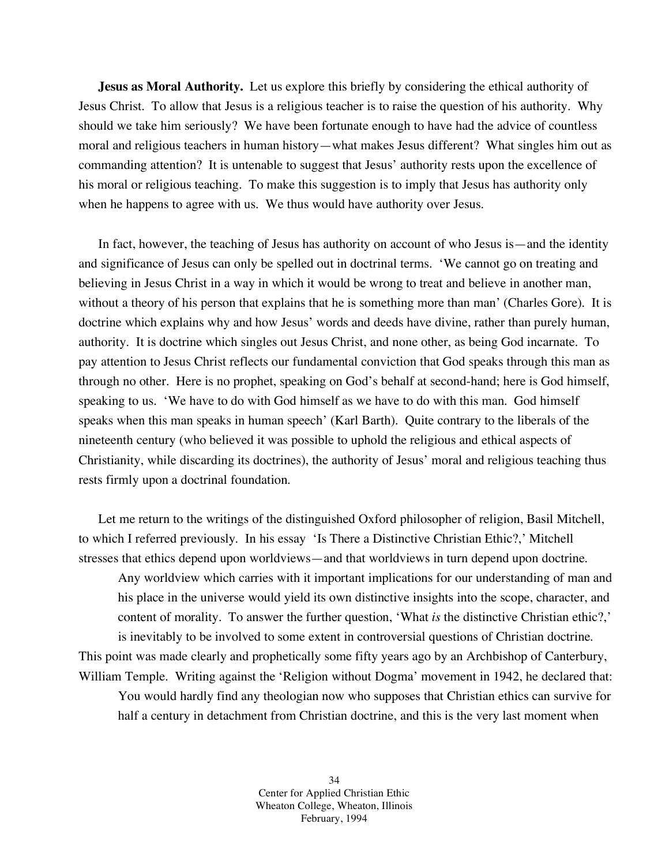**Jesus as Moral Authority.** Let us explore this briefly by considering the ethical authority of Jesus Christ. To allow that Jesus is a religious teacher is to raise the question of his authority. Why should we take him seriously? We have been fortunate enough to have had the advice of countless moral and religious teachers in human history—what makes Jesus different? What singles him out as commanding attention? It is untenable to suggest that Jesus' authority rests upon the excellence of his moral or religious teaching. To make this suggestion is to imply that Jesus has authority only when he happens to agree with us. We thus would have authority over Jesus.

In fact, however, the teaching of Jesus has authority on account of who Jesus is—and the identity and significance of Jesus can only be spelled out in doctrinal terms. 'We cannot go on treating and believing in Jesus Christ in a way in which it would be wrong to treat and believe in another man, without a theory of his person that explains that he is something more than man' (Charles Gore). It is doctrine which explains why and how Jesus' words and deeds have divine, rather than purely human, authority. It is doctrine which singles out Jesus Christ, and none other, as being God incarnate. To pay attention to Jesus Christ reflects our fundamental conviction that God speaks through this man as through no other. Here is no prophet, speaking on God's behalf at second-hand; here is God himself, speaking to us. 'We have to do with God himself as we have to do with this man. God himself speaks when this man speaks in human speech' (Karl Barth). Quite contrary to the liberals of the nineteenth century (who believed it was possible to uphold the religious and ethical aspects of Christianity, while discarding its doctrines), the authority of Jesus' moral and religious teaching thus rests firmly upon a doctrinal foundation.

Let me return to the writings of the distinguished Oxford philosopher of religion, Basil Mitchell, to which I referred previously. In his essay 'Is There a Distinctive Christian Ethic?,' Mitchell stresses that ethics depend upon worldviews—and that worldviews in turn depend upon doctrine. Any worldview which carries with it important implications for our understanding of man and his place in the universe would yield its own distinctive insights into the scope, character, and content of morality. To answer the further question, 'What *is* the distinctive Christian ethic?,' is inevitably to be involved to some extent in controversial questions of Christian doctrine. This point was made clearly and prophetically some fifty years ago by an Archbishop of Canterbury, William Temple. Writing against the 'Religion without Dogma' movement in 1942, he declared that: You would hardly find any theologian now who supposes that Christian ethics can survive for half a century in detachment from Christian doctrine, and this is the very last moment when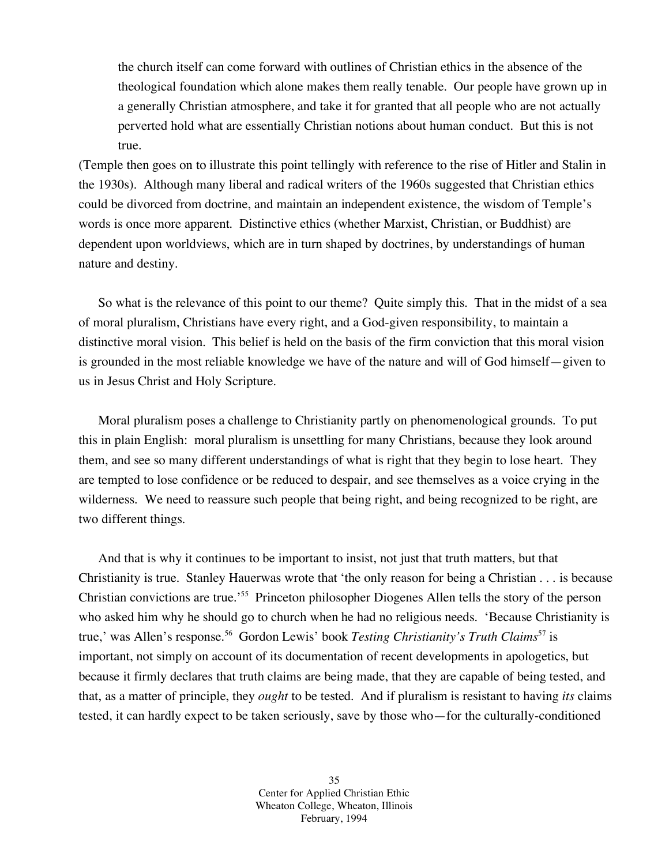the church itself can come forward with outlines of Christian ethics in the absence of the theological foundation which alone makes them really tenable. Our people have grown up in a generally Christian atmosphere, and take it for granted that all people who are not actually perverted hold what are essentially Christian notions about human conduct. But this is not true.

(Temple then goes on to illustrate this point tellingly with reference to the rise of Hitler and Stalin in the 1930s). Although many liberal and radical writers of the 1960s suggested that Christian ethics could be divorced from doctrine, and maintain an independent existence, the wisdom of Temple's words is once more apparent. Distinctive ethics (whether Marxist, Christian, or Buddhist) are dependent upon worldviews, which are in turn shaped by doctrines, by understandings of human nature and destiny.

So what is the relevance of this point to our theme? Quite simply this. That in the midst of a sea of moral pluralism, Christians have every right, and a God-given responsibility, to maintain a distinctive moral vision. This belief is held on the basis of the firm conviction that this moral vision is grounded in the most reliable knowledge we have of the nature and will of God himself—given to us in Jesus Christ and Holy Scripture.

Moral pluralism poses a challenge to Christianity partly on phenomenological grounds. To put this in plain English: moral pluralism is unsettling for many Christians, because they look around them, and see so many different understandings of what is right that they begin to lose heart. They are tempted to lose confidence or be reduced to despair, and see themselves as a voice crying in the wilderness. We need to reassure such people that being right, and being recognized to be right, are two different things.

And that is why it continues to be important to insist, not just that truth matters, but that Christianity is true. Stanley Hauerwas wrote that 'the only reason for being a Christian . . . is because Christian convictions are true.' <sup>55</sup> Princeton philosopher Diogenes Allen tells the story of the person who asked him why he should go to church when he had no religious needs. 'Because Christianity is true,' was Allen's response. <sup>56</sup> Gordon Lewis' book *Testing Christianity's Truth Claims* <sup>57</sup> is important, not simply on account of its documentation of recent developments in apologetics, but because it firmly declares that truth claims are being made, that they are capable of being tested, and that, as a matter of principle, they *ought* to be tested. And if pluralism is resistant to having *its* claims tested, it can hardly expect to be taken seriously, save by those who—for the culturally-conditioned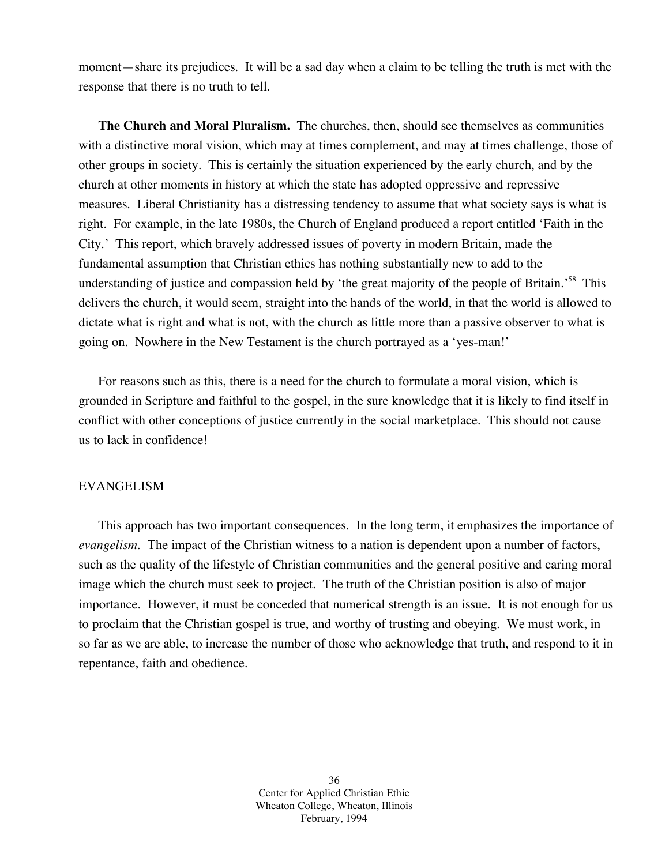moment—share its prejudices. It will be a sad day when a claim to be telling the truth is met with the response that there is no truth to tell.

**The Church and Moral Pluralism.** The churches, then, should see themselves as communities with a distinctive moral vision, which may at times complement, and may at times challenge, those of other groups in society. This is certainly the situation experienced by the early church, and by the church at other moments in history at which the state has adopted oppressive and repressive measures. Liberal Christianity has a distressing tendency to assume that what society says is what is right. For example, in the late 1980s, the Church of England produced a report entitled 'Faith in the City.' This report, which bravely addressed issues of poverty in modern Britain, made the fundamental assumption that Christian ethics has nothing substantially new to add to the understanding of justice and compassion held by 'the great majority of the people of Britain.'<sup>58</sup> This delivers the church, it would seem, straight into the hands of the world, in that the world is allowed to dictate what is right and what is not, with the church as little more than a passive observer to what is going on. Nowhere in the New Testament is the church portrayed as a 'yes-man!'

For reasons such as this, there is a need for the church to formulate a moral vision, which is grounded in Scripture and faithful to the gospel, in the sure knowledge that it is likely to find itself in conflict with other conceptions of justice currently in the social marketplace. This should not cause us to lack in confidence!

# EVANGELISM

This approach has two important consequences. In the long term, it emphasizes the importance of *evangelism*. The impact of the Christian witness to a nation is dependent upon a number of factors, such as the quality of the lifestyle of Christian communities and the general positive and caring moral image which the church must seek to project. The truth of the Christian position is also of major importance. However, it must be conceded that numerical strength is an issue. It is not enough for us to proclaim that the Christian gospel is true, and worthy of trusting and obeying. We must work, in so far as we are able, to increase the number of those who acknowledge that truth, and respond to it in repentance, faith and obedience.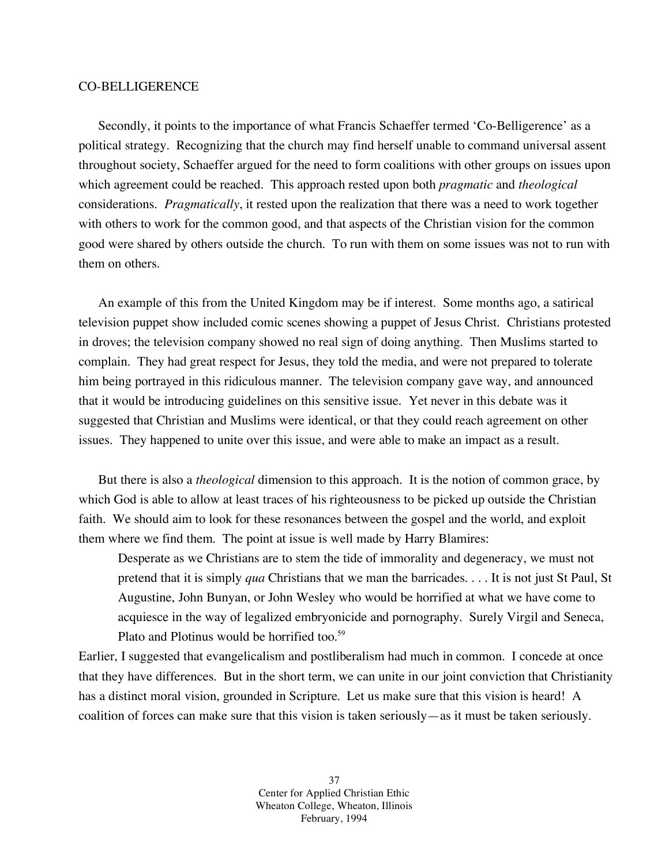## CO-BELLIGERENCE

Secondly, it points to the importance of what Francis Schaeffer termed 'Co-Belligerence' as a political strategy. Recognizing that the church may find herself unable to command universal assent throughout society, Schaeffer argued for the need to form coalitions with other groups on issues upon which agreement could be reached. This approach rested upon both *pragmatic* and *theological* considerations. *Pragmatically*, it rested upon the realization that there was a need to work together with others to work for the common good, and that aspects of the Christian vision for the common good were shared by others outside the church. To run with them on some issues was not to run with them on others.

An example of this from the United Kingdom may be if interest. Some months ago, a satirical television puppet show included comic scenes showing a puppet of Jesus Christ. Christians protested in droves; the television company showed no real sign of doing anything. Then Muslims started to complain. They had great respect for Jesus, they told the media, and were not prepared to tolerate him being portrayed in this ridiculous manner. The television company gave way, and announced that it would be introducing guidelines on this sensitive issue. Yet never in this debate was it suggested that Christian and Muslims were identical, or that they could reach agreement on other issues. They happened to unite over this issue, and were able to make an impact as a result.

But there is also a *theological* dimension to this approach. It is the notion of common grace, by which God is able to allow at least traces of his righteousness to be picked up outside the Christian faith. We should aim to look for these resonances between the gospel and the world, and exploit them where we find them. The point at issue is well made by Harry Blamires:

Desperate as we Christians are to stem the tide of immorality and degeneracy, we must not pretend that it is simply *qua* Christians that we man the barricades. . . . It is not just St Paul, St Augustine, John Bunyan, or John Wesley who would be horrified at what we have come to acquiesce in the way of legalized embryonicide and pornography. Surely Virgil and Seneca, Plato and Plotinus would be horrified too.<sup>59</sup>

Earlier, I suggested that evangelicalism and postliberalism had much in common. I concede at once that they have differences. But in the short term, we can unite in our joint conviction that Christianity has a distinct moral vision, grounded in Scripture. Let us make sure that this vision is heard! A coalition of forces can make sure that this vision is taken seriously—as it must be taken seriously.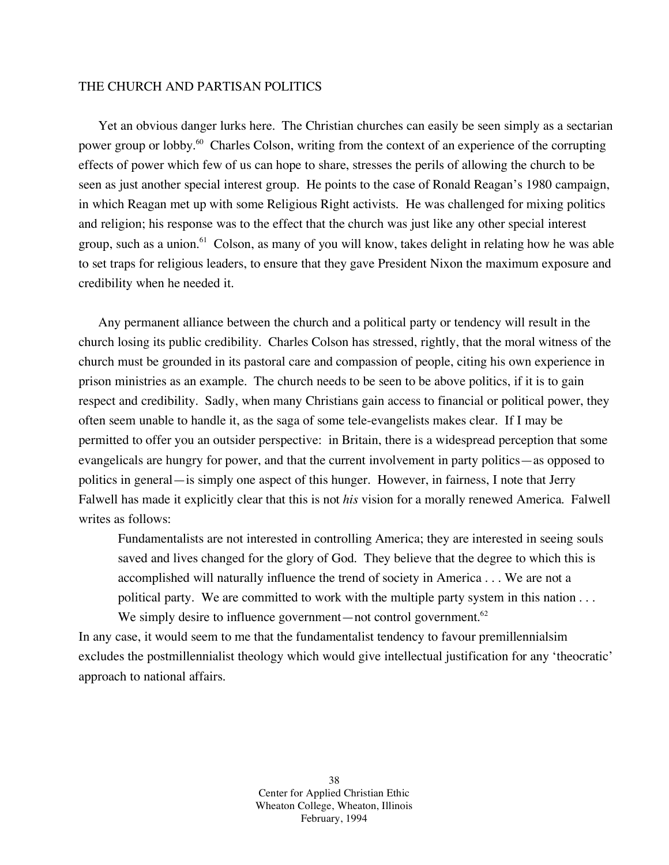# THE CHURCH AND PARTISAN POLITICS

Yet an obvious danger lurks here. The Christian churches can easily be seen simply as a sectarian power group or lobby.<sup>60</sup> Charles Colson, writing from the context of an experience of the corrupting effects of power which few of us can hope to share, stresses the perils of allowing the church to be seen as just another special interest group. He points to the case of Ronald Reagan's 1980 campaign, in which Reagan met up with some Religious Right activists. He was challenged for mixing politics and religion; his response was to the effect that the church was just like any other special interest group, such as a union.<sup>61</sup> Colson, as many of you will know, takes delight in relating how he was able to set traps for religious leaders, to ensure that they gave President Nixon the maximum exposure and credibility when he needed it.

Any permanent alliance between the church and a political party or tendency will result in the church losing its public credibility. Charles Colson has stressed, rightly, that the moral witness of the church must be grounded in its pastoral care and compassion of people, citing his own experience in prison ministries as an example. The church needs to be seen to be above politics, if it is to gain respect and credibility. Sadly, when many Christians gain access to financial or political power, they often seem unable to handle it, as the saga of some tele-evangelists makes clear. If I may be permitted to offer you an outsider perspective: in Britain, there is a widespread perception that some evangelicals are hungry for power, and that the current involvement in party politics—as opposed to politics in general—is simply one aspect of this hunger. However, in fairness, I note that Jerry Falwell has made it explicitly clear that this is not *his* vision for a morally renewed America. Falwell writes as follows:

Fundamentalists are not interested in controlling America; they are interested in seeing souls saved and lives changed for the glory of God. They believe that the degree to which this is accomplished will naturally influence the trend of society in America . . . We are not a political party. We are committed to work with the multiple party system in this nation . . . We simply desire to influence government—not control government.<sup>62</sup>

In any case, it would seem to me that the fundamentalist tendency to favour premillennialsim excludes the postmillennialist theology which would give intellectual justification for any 'theocratic' approach to national affairs.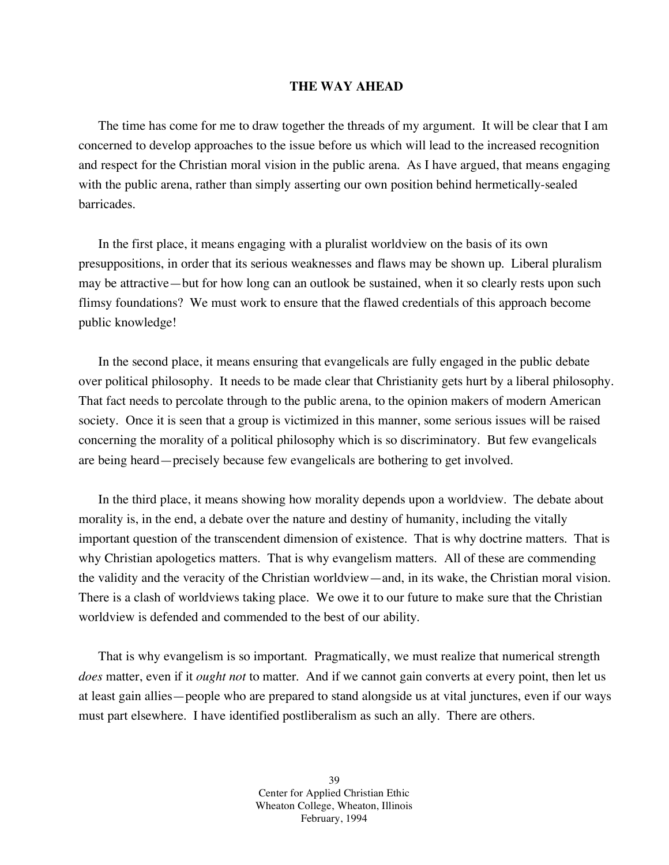#### **THE WAY AHEAD**

The time has come for me to draw together the threads of my argument. It will be clear that I am concerned to develop approaches to the issue before us which will lead to the increased recognition and respect for the Christian moral vision in the public arena. As I have argued, that means engaging with the public arena, rather than simply asserting our own position behind hermetically-sealed barricades.

In the first place, it means engaging with a pluralist worldview on the basis of its own presuppositions, in order that its serious weaknesses and flaws may be shown up. Liberal pluralism may be attractive—but for how long can an outlook be sustained, when it so clearly rests upon such flimsy foundations? We must work to ensure that the flawed credentials of this approach become public knowledge!

In the second place, it means ensuring that evangelicals are fully engaged in the public debate over political philosophy. It needs to be made clear that Christianity gets hurt by a liberal philosophy. That fact needs to percolate through to the public arena, to the opinion makers of modern American society. Once it is seen that a group is victimized in this manner, some serious issues will be raised concerning the morality of a political philosophy which is so discriminatory. But few evangelicals are being heard—precisely because few evangelicals are bothering to get involved.

In the third place, it means showing how morality depends upon a worldview. The debate about morality is, in the end, a debate over the nature and destiny of humanity, including the vitally important question of the transcendent dimension of existence. That is why doctrine matters. That is why Christian apologetics matters. That is why evangelism matters. All of these are commending the validity and the veracity of the Christian worldview—and, in its wake, the Christian moral vision. There is a clash of worldviews taking place. We owe it to our future to make sure that the Christian worldview is defended and commended to the best of our ability.

That is why evangelism is so important. Pragmatically, we must realize that numerical strength *does* matter, even if it *ought not* to matter. And if we cannot gain converts at every point, then let us at least gain allies—people who are prepared to stand alongside us at vital junctures, even if our ways must part elsewhere. I have identified postliberalism as such an ally. There are others.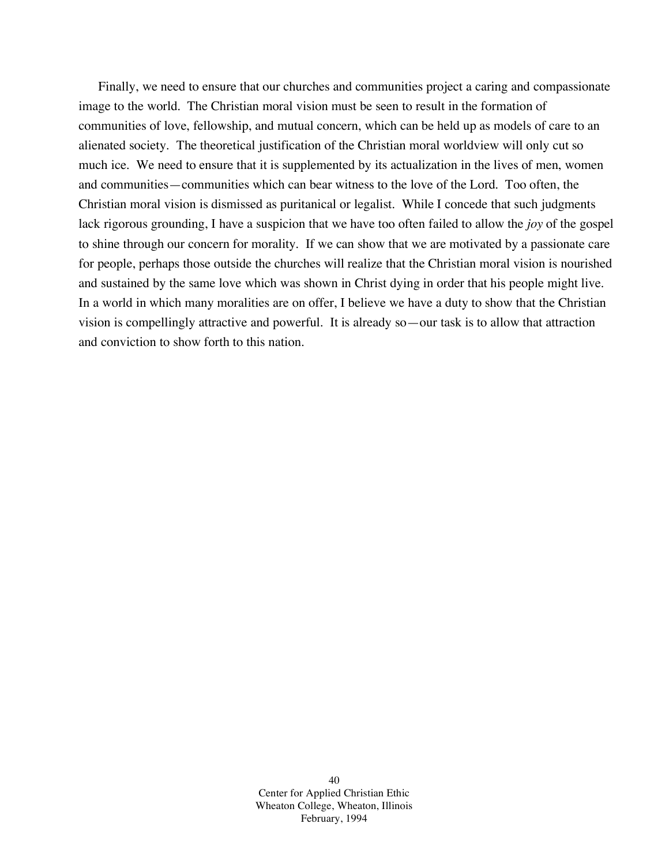Finally, we need to ensure that our churches and communities project a caring and compassionate image to the world. The Christian moral vision must be seen to result in the formation of communities of love, fellowship, and mutual concern, which can be held up as models of care to an alienated society. The theoretical justification of the Christian moral worldview will only cut so much ice. We need to ensure that it is supplemented by its actualization in the lives of men, women and communities—communities which can bear witness to the love of the Lord. Too often, the Christian moral vision is dismissed as puritanical or legalist. While I concede that such judgments lack rigorous grounding, I have a suspicion that we have too often failed to allow the *joy* of the gospel to shine through our concern for morality. If we can show that we are motivated by a passionate care for people, perhaps those outside the churches will realize that the Christian moral vision is nourished and sustained by the same love which was shown in Christ dying in order that his people might live. In a world in which many moralities are on offer, I believe we have a duty to show that the Christian vision is compellingly attractive and powerful. It is already so—our task is to allow that attraction and conviction to show forth to this nation.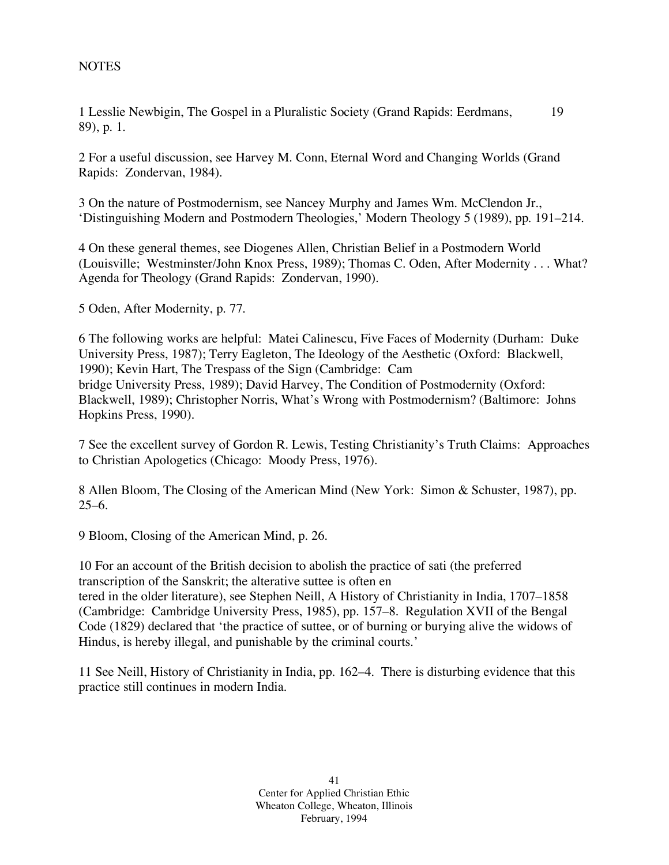# **NOTES**

1 Lesslie Newbigin, The Gospel in a Pluralistic Society (Grand Rapids: Eerdmans, 19 89), p. 1.

2 For a useful discussion, see Harvey M. Conn, Eternal Word and Changing Worlds (Grand Rapids: Zondervan, 1984).

3 On the nature of Postmodernism, see Nancey Murphy and James Wm. McClendon Jr., 'Distinguishing Modern and Postmodern Theologies,' Modern Theology 5 (1989), pp. 191–214.

4 On these general themes, see Diogenes Allen, Christian Belief in a Postmodern World (Louisville; Westminster/John Knox Press, 1989); Thomas C. Oden, After Modernity . . . What? Agenda for Theology (Grand Rapids: Zondervan, 1990).

5 Oden, After Modernity, p. 77.

6 The following works are helpful: Matei Calinescu, Five Faces of Modernity (Durham: Duke University Press, 1987); Terry Eagleton, The Ideology of the Aesthetic (Oxford: Blackwell, 1990); Kevin Hart, The Trespass of the Sign (Cambridge: Cam bridge University Press, 1989); David Harvey, The Condition of Postmodernity (Oxford: Blackwell, 1989); Christopher Norris, What's Wrong with Postmodernism? (Baltimore: Johns Hopkins Press, 1990).

7 See the excellent survey of Gordon R. Lewis, Testing Christianity's Truth Claims: Approaches to Christian Apologetics (Chicago: Moody Press, 1976).

8 Allen Bloom, The Closing of the American Mind (New York: Simon & Schuster, 1987), pp. 25–6.

9 Bloom, Closing of the American Mind, p. 26.

10 For an account of the British decision to abolish the practice of sati (the preferred transcription of the Sanskrit; the alterative suttee is often en

tered in the older literature), see Stephen Neill, A History of Christianity in India, 1707–1858 (Cambridge: Cambridge University Press, 1985), pp. 157–8. Regulation XVII of the Bengal Code (1829) declared that 'the practice of suttee, or of burning or burying alive the widows of Hindus, is hereby illegal, and punishable by the criminal courts.'

11 See Neill, History of Christianity in India, pp. 162–4. There is disturbing evidence that this practice still continues in modern India.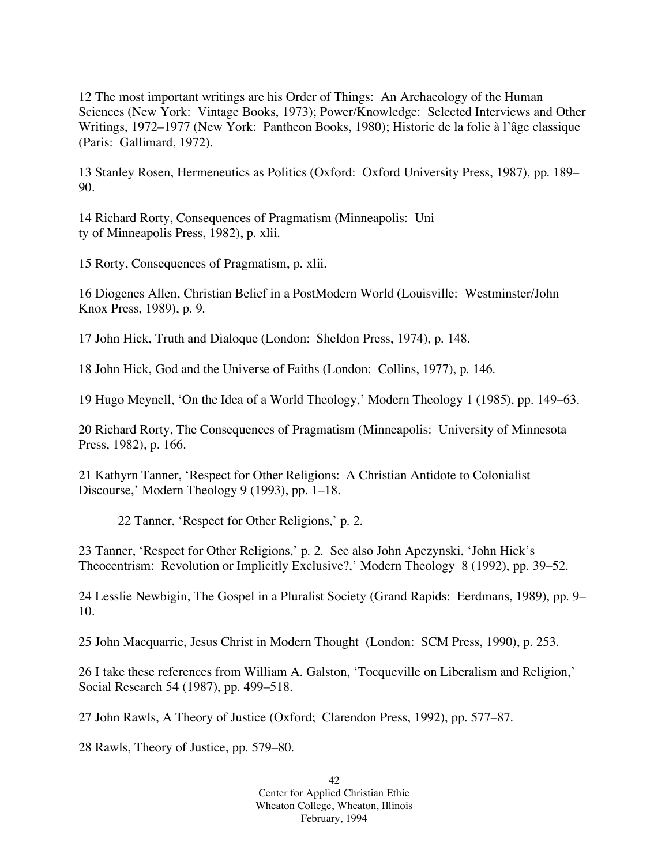12 The most important writings are his Order of Things: An Archaeology of the Human Sciences (New York: Vintage Books, 1973); Power/Knowledge: Selected Interviews and Other Writings, 1972–1977 (New York: Pantheon Books, 1980); Historie de la folie à l'âge classique (Paris: Gallimard, 1972).

13 Stanley Rosen, Hermeneutics as Politics (Oxford: Oxford University Press, 1987), pp. 189– 90.

14 Richard Rorty, Consequences of Pragmatism (Minneapolis: Uni ty of Minneapolis Press, 1982), p. xlii.

15 Rorty, Consequences of Pragmatism, p. xlii.

16 Diogenes Allen, Christian Belief in a PostModern World (Louisville: Westminster/John Knox Press, 1989), p. 9.

17 John Hick, Truth and Dialoque (London: Sheldon Press, 1974), p. 148.

18 John Hick, God and the Universe of Faiths (London: Collins, 1977), p. 146.

19 Hugo Meynell, 'On the Idea of a World Theology,' Modern Theology 1 (1985), pp. 149–63.

20 Richard Rorty, The Consequences of Pragmatism (Minneapolis: University of Minnesota Press, 1982), p. 166.

21 Kathyrn Tanner, 'Respect for Other Religions: A Christian Antidote to Colonialist Discourse,' Modern Theology 9 (1993), pp. 1–18.

22 Tanner, 'Respect for Other Religions,' p. 2.

23 Tanner, 'Respect for Other Religions,' p. 2. See also John Apczynski, 'John Hick's Theocentrism: Revolution or Implicitly Exclusive?,' Modern Theology 8 (1992), pp. 39–52.

24 Lesslie Newbigin, The Gospel in a Pluralist Society (Grand Rapids: Eerdmans, 1989), pp. 9– 10.

25 John Macquarrie, Jesus Christ in Modern Thought (London: SCM Press, 1990), p. 253.

26 I take these references from William A. Galston, 'Tocqueville on Liberalism and Religion,' Social Research 54 (1987), pp. 499–518.

27 John Rawls, A Theory of Justice (Oxford; Clarendon Press, 1992), pp. 577–87.

28 Rawls, Theory of Justice, pp. 579–80.

 $42$ Center for Applied Christian Ethic Wheaton College, Wheaton, Illinois February, 1994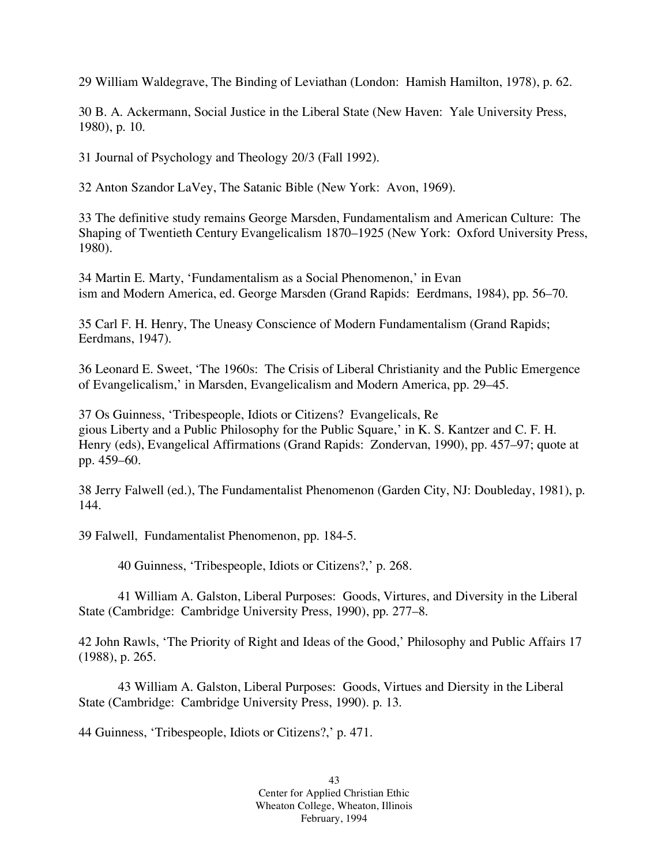29 William Waldegrave, The Binding of Leviathan (London: Hamish Hamilton, 1978), p. 62.

30 B. A. Ackermann, Social Justice in the Liberal State (New Haven: Yale University Press, 1980), p. 10.

31 Journal of Psychology and Theology 20/3 (Fall 1992).

32 Anton Szandor LaVey, The Satanic Bible (New York: Avon, 1969).

33 The definitive study remains George Marsden, Fundamentalism and American Culture: The Shaping of Twentieth Century Evangelicalism 1870–1925 (New York: Oxford University Press, 1980).

34 Martin E. Marty, 'Fundamentalism as a Social Phenomenon,' in Evan ism and Modern America, ed. George Marsden (Grand Rapids: Eerdmans, 1984), pp. 56–70.

35 Carl F. H. Henry, The Uneasy Conscience of Modern Fundamentalism (Grand Rapids; Eerdmans, 1947).

36 Leonard E. Sweet, 'The 1960s: The Crisis of Liberal Christianity and the Public Emergence of Evangelicalism,' in Marsden, Evangelicalism and Modern America, pp. 29–45.

37 Os Guinness, 'Tribespeople, Idiots or Citizens? Evangelicals, Re gious Liberty and a Public Philosophy for the Public Square,' in K. S. Kantzer and C. F. H. Henry (eds), Evangelical Affirmations (Grand Rapids: Zondervan, 1990), pp. 457–97; quote at pp. 459–60.

38 Jerry Falwell (ed.), The Fundamentalist Phenomenon (Garden City, NJ: Doubleday, 1981), p. 144.

39 Falwell, Fundamentalist Phenomenon, pp. 184-5.

40 Guinness, 'Tribespeople, Idiots or Citizens?,' p. 268.

41 William A. Galston, Liberal Purposes: Goods, Virtures, and Diversity in the Liberal State (Cambridge: Cambridge University Press, 1990), pp. 277–8.

42 John Rawls, 'The Priority of Right and Ideas of the Good,' Philosophy and Public Affairs 17 (1988), p. 265.

43 William A. Galston, Liberal Purposes: Goods, Virtues and Diersity in the Liberal State (Cambridge: Cambridge University Press, 1990). p. 13.

44 Guinness, 'Tribespeople, Idiots or Citizens?,' p. 471.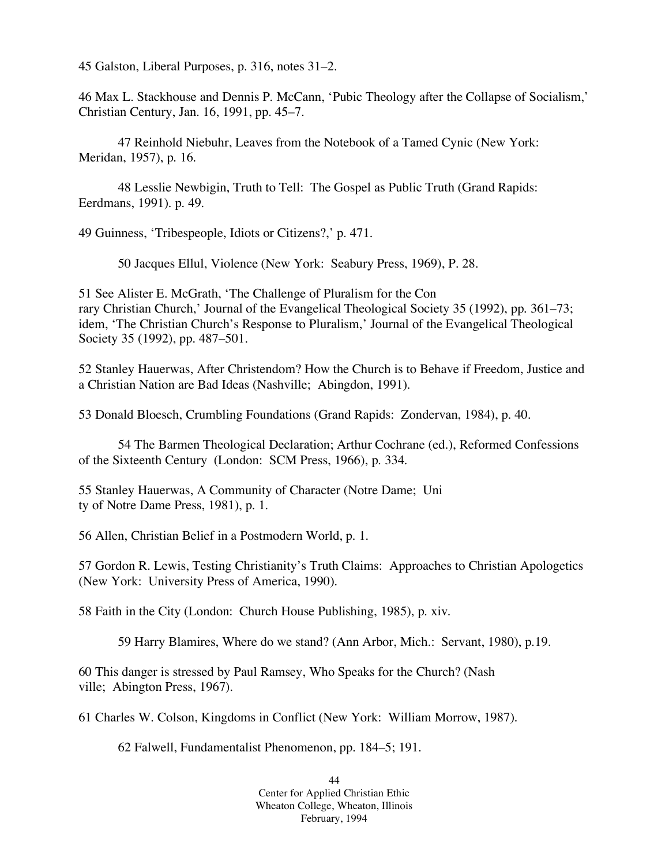45 Galston, Liberal Purposes, p. 316, notes 31–2.

46 Max L. Stackhouse and Dennis P. McCann, 'Pubic Theology after the Collapse of Socialism,' Christian Century, Jan. 16, 1991, pp. 45–7.

47 Reinhold Niebuhr, Leaves from the Notebook of a Tamed Cynic (New York: Meridan, 1957), p. 16.

48 Lesslie Newbigin, Truth to Tell: The Gospel as Public Truth (Grand Rapids: Eerdmans, 1991). p. 49.

49 Guinness, 'Tribespeople, Idiots or Citizens?,' p. 471.

50 Jacques Ellul, Violence (New York: Seabury Press, 1969), P. 28.

51 See Alister E. McGrath, 'The Challenge of Pluralism for the Con rary Christian Church,' Journal of the Evangelical Theological Society 35 (1992), pp. 361–73; idem, 'The Christian Church's Response to Pluralism,' Journal of the Evangelical Theological Society 35 (1992), pp. 487–501.

52 Stanley Hauerwas, After Christendom? How the Church is to Behave if Freedom, Justice and a Christian Nation are Bad Ideas (Nashville; Abingdon, 1991).

53 Donald Bloesch, Crumbling Foundations (Grand Rapids: Zondervan, 1984), p. 40.

54 The Barmen Theological Declaration; Arthur Cochrane (ed.), Reformed Confessions of the Sixteenth Century (London: SCM Press, 1966), p. 334.

55 Stanley Hauerwas, A Community of Character (Notre Dame; Uni ty of Notre Dame Press, 1981), p. 1.

56 Allen, Christian Belief in a Postmodern World, p. 1.

57 Gordon R. Lewis, Testing Christianity's Truth Claims: Approaches to Christian Apologetics (New York: University Press of America, 1990).

58 Faith in the City (London: Church House Publishing, 1985), p. xiv.

59 Harry Blamires, Where do we stand? (Ann Arbor, Mich.: Servant, 1980), p.19.

60 This danger is stressed by Paul Ramsey, Who Speaks for the Church? (Nash ville; Abington Press, 1967).

61 Charles W. Colson, Kingdoms in Conflict (New York: William Morrow, 1987).

62 Falwell, Fundamentalist Phenomenon, pp. 184–5; 191.

44 Center for Applied Christian Ethic Wheaton College, Wheaton, Illinois February, 1994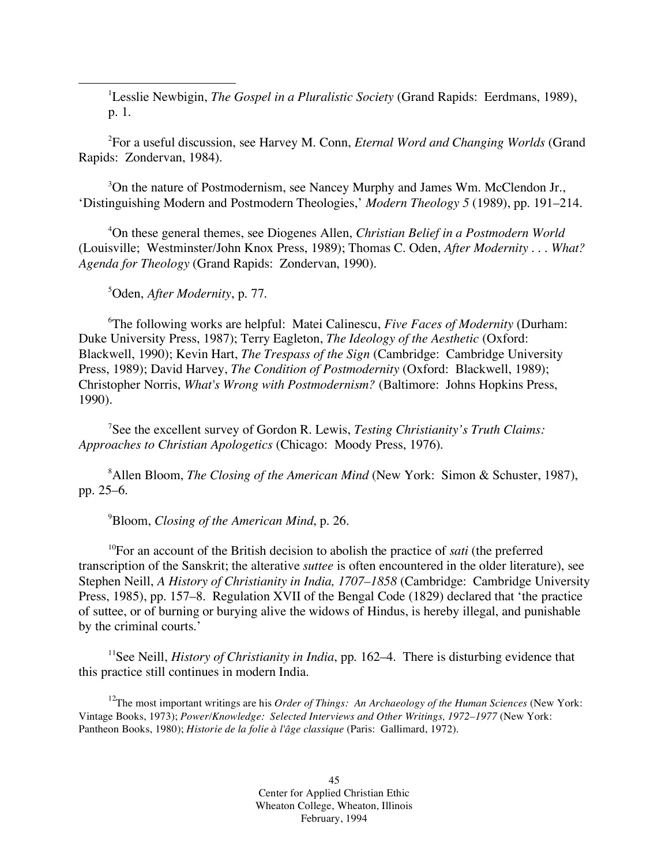<sup>1</sup> Lesslie Newbigin, *The Gospel in a Pluralistic Society* (Grand Rapids: Eerdmans, 1989), p. 1.

2 For a useful discussion, see Harvey M. Conn, *Eternal Word and Changing Worlds* (Grand Rapids: Zondervan, 1984).

<sup>3</sup>On the nature of Postmodernism, see Nancey Murphy and James Wm. McClendon Jr., 'Distinguishing Modern and Postmodern Theologies,' *Modern Theology 5* (1989), pp. 191–214.

4 On these general themes, see Diogenes Allen, *Christian Belief in a Postmodern World* (Louisville; Westminster/John Knox Press, 1989); Thomas C. Oden, *After Modernity . . . What? Agenda for Theology* (Grand Rapids: Zondervan, 1990).

5 Oden, *After Modernity*, p. 77.

6 The following works are helpful: Matei Calinescu, *Five Faces of Modernity* (Durham: Duke University Press, 1987); Terry Eagleton, *The Ideology of the Aesthetic* (Oxford: Blackwell, 1990); Kevin Hart, *The Trespass of the Sign* (Cambridge: Cambridge University Press, 1989); David Harvey, *The Condition of Postmodernity* (Oxford: Blackwell, 1989); Christopher Norris, *What's Wrong with Postmodernism?* (Baltimore: Johns Hopkins Press, 1990).

7 See the excellent survey of Gordon R. Lewis, *Testing Christianity's Truth Claims: Approaches to Christian Apologetics* (Chicago: Moody Press, 1976).

8 Allen Bloom, *The Closing of the American Mind* (New York: Simon & Schuster, 1987), pp. 25–6.

9 Bloom, *Closing of the American Mind*, p. 26.

<sup>10</sup>For an account of the British decision to abolish the practice of *sati* (the preferred transcription of the Sanskrit; the alterative *suttee* is often encountered in the older literature), see Stephen Neill, *A History of Christianity in India, 1707–1858* (Cambridge: Cambridge University Press, 1985), pp. 157–8. Regulation XVII of the Bengal Code (1829) declared that 'the practice of suttee, or of burning or burying alive the widows of Hindus, is hereby illegal, and punishable by the criminal courts.'

11 See Neill, *History of Christianity in India*, pp. 162–4. There is disturbing evidence that this practice still continues in modern India.

12 The most important writings are his *Order of Things: An Archaeology of the Human Sciences* (New York: Vintage Books, 1973); *Power/Knowledge: Selected Interviews and Other Writings, 1972–1977* (New York: Pantheon Books, 1980); *Historie de la folie à l'âge classique* (Paris: Gallimard, 1972).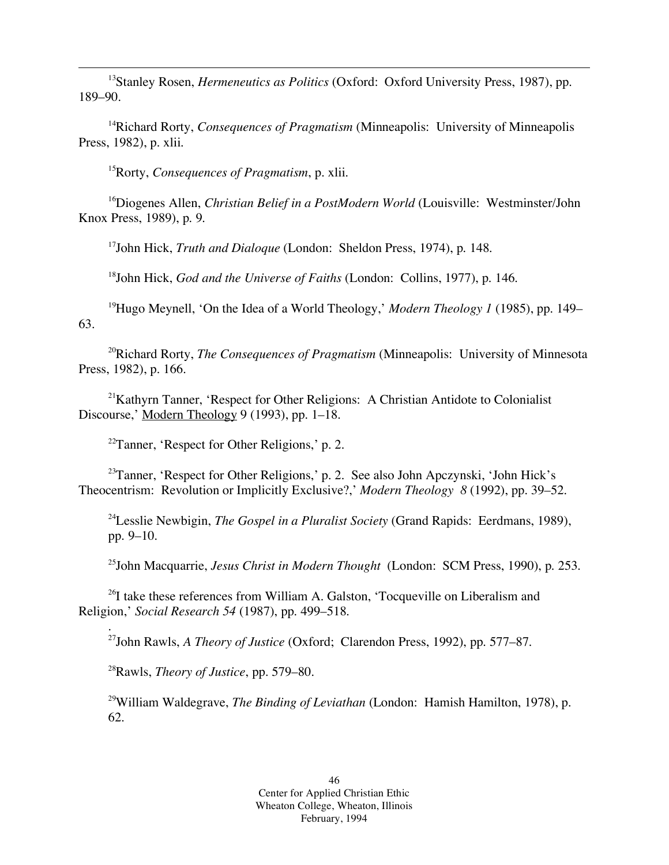13 Stanley Rosen, *Hermeneutics as Politics* (Oxford: Oxford University Press, 1987), pp. 189–90.

14 Richard Rorty, *Consequences of Pragmatism* (Minneapolis: University of Minneapolis Press, 1982), p. xlii.

15 Rorty, *Consequences of Pragmatism*, p. xlii.

<sup>16</sup>Diogenes Allen, *Christian Belief in a PostModern World* (Louisville: Westminster/John Knox Press, 1989), p. 9.

<sup>17</sup>John Hick, *Truth and Dialoque* (London: Sheldon Press, 1974), p. 148.

18 John Hick, *God and the Universe of Faiths* (London: Collins, 1977), p. 146.

19 Hugo Meynell, 'On the Idea of a World Theology,' *Modern Theology 1* (1985), pp. 149– 63.

20 Richard Rorty, *The Consequences of Pragmatism* (Minneapolis: University of Minnesota Press, 1982), p. 166.

<sup>21</sup> Kathyrn Tanner, 'Respect for Other Religions: A Christian Antidote to Colonialist Discourse,' Modern Theology 9 (1993), pp. 1–18.

<sup>22</sup>Tanner, 'Respect for Other Religions,' p. 2.

<sup>23</sup>Tanner, 'Respect for Other Religions,' p. 2. See also John Apczynski, 'John Hick's Theocentrism: Revolution or Implicitly Exclusive?,' *Modern Theology 8* (1992), pp. 39–52.

24 Lesslie Newbigin, *The Gospel in a Pluralist Society* (Grand Rapids: Eerdmans, 1989), pp. 9–10.

25 John Macquarrie, *Jesus Christ in Modern Thought* (London: SCM Press, 1990), p. 253.

<sup>26</sup>I take these references from William A. Galston, 'Tocqueville on Liberalism and Religion,' *Social Research 54* (1987), pp. 499–518.

. 27 John Rawls, *A Theory of Justice* (Oxford; Clarendon Press, 1992), pp. 577–87.

28 Rawls, *Theory of Justice*, pp. 579–80.

29 William Waldegrave, *The Binding of Leviathan* (London: Hamish Hamilton, 1978), p. 62.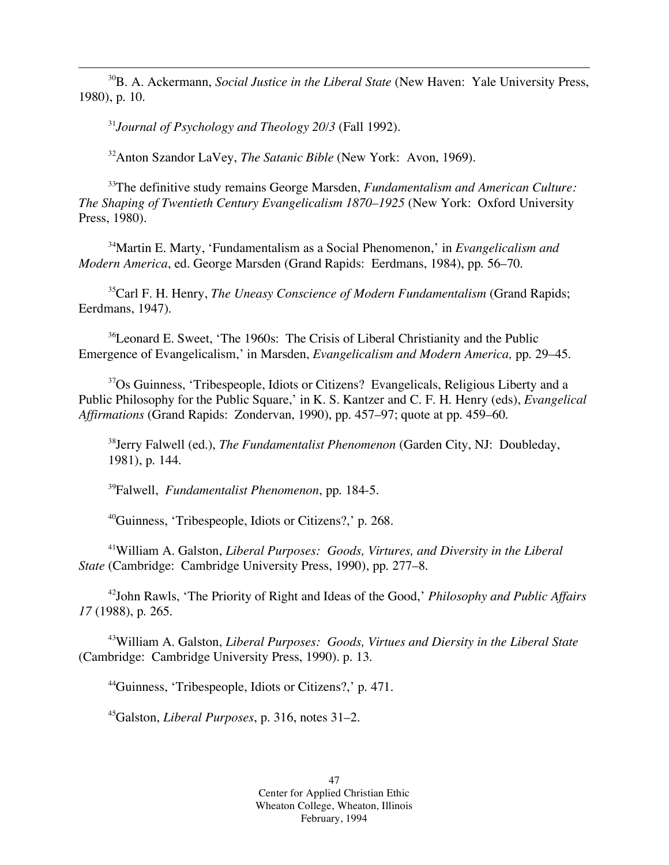30 B. A. Ackermann, *Social Justice in the Liberal State* (New Haven: Yale University Press, 1980), p. 10.

31 *Journal of Psychology and Theology 20/3* (Fall 1992).

32 Anton Szandor LaVey, *The Satanic Bible* (New York: Avon, 1969).

33 The definitive study remains George Marsden, *Fundamentalism and American Culture: The Shaping of Twentieth Century Evangelicalism 1870–1925* (New York: Oxford University Press, 1980).

34 Martin E. Marty, 'Fundamentalism as a Social Phenomenon,' in *Evangelicalism and Modern America*, ed. George Marsden (Grand Rapids: Eerdmans, 1984), pp. 56–70.

35 Carl F. H. Henry, *The Uneasy Conscience of Modern Fundamentalism* (Grand Rapids; Eerdmans, 1947).

<sup>36</sup>Leonard E. Sweet, 'The 1960s: The Crisis of Liberal Christianity and the Public Emergence of Evangelicalism,' in Marsden, *Evangelicalism and Modern America,* pp. 29–45.

<sup>37</sup>Os Guinness, 'Tribespeople, Idiots or Citizens? Evangelicals, Religious Liberty and a Public Philosophy for the Public Square,' in K. S. Kantzer and C. F. H. Henry (eds), *Evangelical Affirmations* (Grand Rapids: Zondervan, 1990), pp. 457–97; quote at pp. 459–60.

38 Jerry Falwell (ed.), *The Fundamentalist Phenomenon* (Garden City, NJ: Doubleday, 1981), p. 144.

39 Falwell, *Fundamentalist Phenomenon*, pp. 184-5.

40 Guinness, 'Tribespeople, Idiots or Citizens?,' p. 268.

41 William A. Galston, *Liberal Purposes: Goods, Virtures, and Diversity in the Liberal State* (Cambridge: Cambridge University Press, 1990), pp. 277–8.

42 John Rawls, 'The Priority of Right and Ideas of the Good,' *Philosophy and Public Affairs 17* (1988), p. 265.

43 William A. Galston, *Liberal Purposes: Goods, Virtues and Diersity in the Liberal State* (Cambridge: Cambridge University Press, 1990). p. 13.

44 Guinness, 'Tribespeople, Idiots or Citizens?,' p. 471.

45 Galston, *Liberal Purposes*, p. 316, notes 31–2.